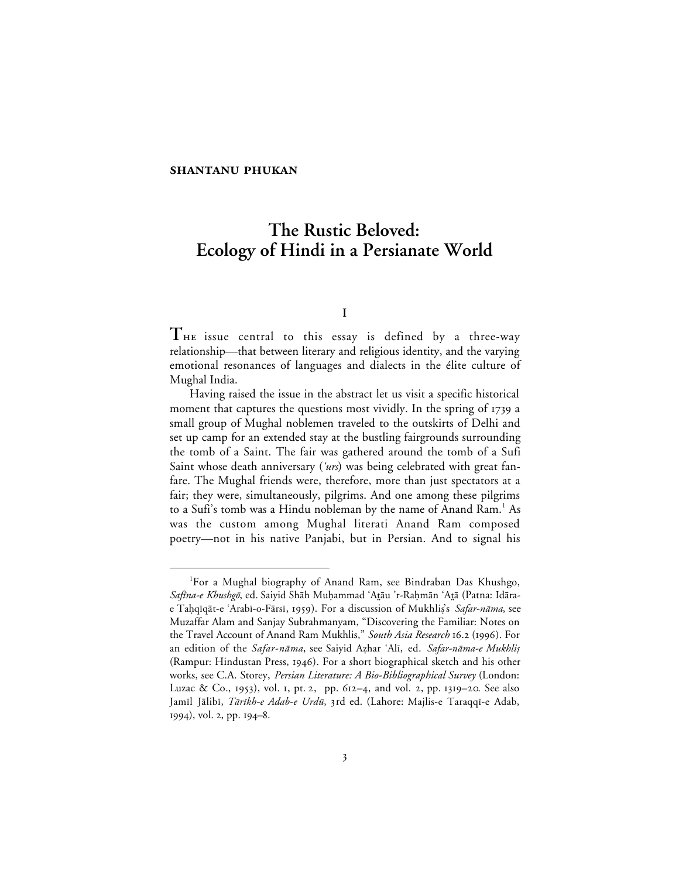# **The Rustic Beloved: Ecology of Hindi in a Persianate World**

# **I**

**T** issue central to this essay is defined by a three-way relationship—that between literary and religious identity, and the varying emotional resonances of languages and dialects in the élite culture of Mughal India.

Having raised the issue in the abstract let us visit a specific historical moment that captures the questions most vividly. In the spring of 1739 a small group of Mughal noblemen traveled to the outskirts of Delhi and set up camp for an extended stay at the bustling fairgrounds surrounding the tomb of a Saint. The fair was gathered around the tomb of a Sufi Saint whose death anniversary (' $urs$ ) was being celebrated with great fanfare. The Mughal friends were, therefore, more than just spectators at a fair; they were, simultaneously, pilgrims. And one among these pilgrims to a Sufi's tomb was a Hindu nobleman by the name of Anand Ram.<sup>1</sup> As was the custom among Mughal literati Anand Ram composed poetry—not in his native Panjabi, but in Persian. And to signal his

 $\overline{\phantom{a}}$ For a Mughal biography of Anand Ram, see Bindraban Das Khushgo, Safina-e Khushgō, ed. Saiyid Shāh Muḥammad 'Aṯāu 'r-Raḥmān 'Aṯā (Patna: Idārae Taḥqīqāt-e 'Arabī-o-Fārsī, 1959). For a discussion of Mukhlis's Safar-nāma, see Muzaffar Alam and Sanjay Subrahmanyam, "Discovering the Familiar: Notes on the Travel Account of Anand Ram Mukhlis," South Asia Research 16.2 (1996). For an edition of the Safar-nāma, see Saiyid Azhar 'Alī, ed. Safar-nāma-e Mukhlis (Rampur: Hindustan Press, 1946). For a short biographical sketch and his other works, see C.A. Storey, *Persian Literature: A Bio-Bibliographical Survey* (London: Luzac & Co., 1953), vol. 1, pt. 2, pp. 612-4, and vol. 2, pp. 1319-20. See also Jamīl Jālibī, *Tārīkh-e Adab-e Urdū*, 3rd ed. (Lahore: Majlis-e Taraqqī-e Adab,  $1994$ , vol. 2, pp.  $194-8$ .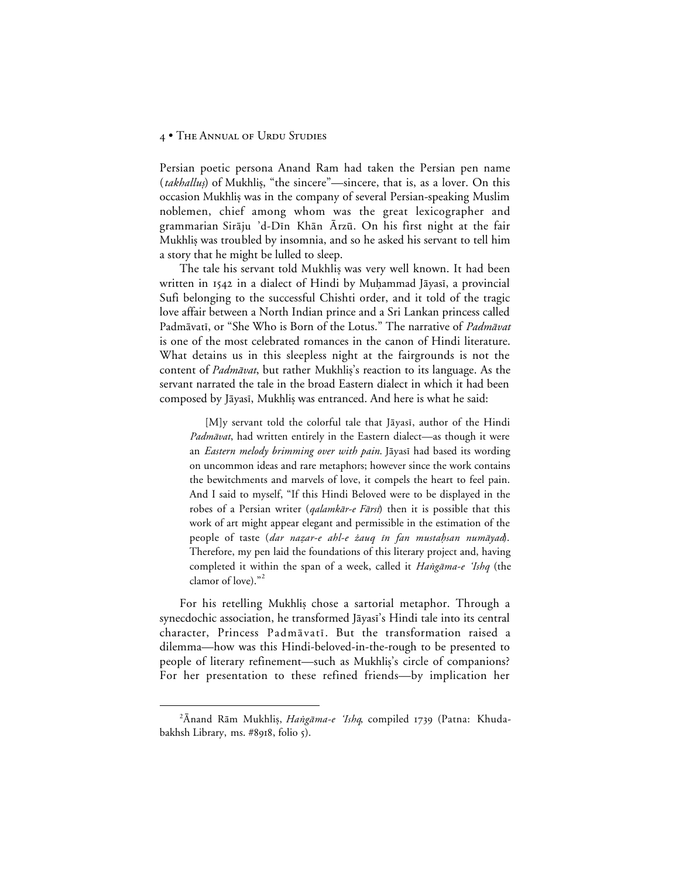Persian poetic persona Anand Ram had taken the Persian pen name (takhallus) of Mukhlis, "the sincere"—sincere, that is, as a lover. On this occasion Mukhlis was in the company of several Persian-speaking Muslim noblemen, chief among whom was the great lexicographer and grammarian Sirāju 'd-Dīn Khān Ārzū. On his first night at the fair Mukhlis was troubled by insomnia, and so he asked his servant to tell him a story that he might be lulled to sleep.

The tale his servant told Mukhliş was very well known. It had been written in 1542 in a dialect of Hindi by Muhammad Jāyasī, a provincial Sufi belonging to the successful Chishti order, and it told of the tragic love affair between a North Indian prince and a Sri Lankan princess called Padmāvatī, or "She Who is Born of the Lotus." The narrative of Padmāvat is one of the most celebrated romances in the canon of Hindi literature. What detains us in this sleepless night at the fairgrounds is not the content of *Padmāvat*, but rather Mukhlis's reaction to its language. As the servant narrated the tale in the broad Eastern dialect in which it had been composed by Jāyasī, Mukhliş was entranced. And here is what he said:

[M]y servant told the colorful tale that Jāyasī, author of the Hindi Padmāvat, had written entirely in the Eastern dialect—as though it were an *Eastern melody brimming over with pain*. Jāyasī had based its wording on uncommon ideas and rare metaphors; however since the work contains the bewitchments and marvels of love, it compels the heart to feel pain. And I said to myself, "If this Hindi Beloved were to be displayed in the robes of a Persian writer (*qalamkār-e Fārsi*) then it is possible that this work of art might appear elegant and permissible in the estimation of the people of taste (dar nazar-e ahl-e żauq in fan mustahsan numāyad). Therefore, my pen laid the foundations of this literary project and, having completed it within the span of a week, called it Hangāma-e 'Ishq (the clamor of love)."<sup>2</sup>

For his retelling Mukhlis chose a sartorial metaphor. Through a synecdochic association, he transformed Jāyasī's Hindi tale into its central character, Princess Padmāvatī. But the transformation raised a dilemma—how was this Hindi-beloved-in-the-rough to be presented to people of literary refinement—such as Mukhlis's circle of companions? For her presentation to these refined friends—by implication her

 $\overline{a}$ <sup>2</sup>Anand Rām Mukhlis, Hangāma-e 'Ishq, compiled 1739 (Patna: Khudabakhsh Library, ms. #8918, folio 5).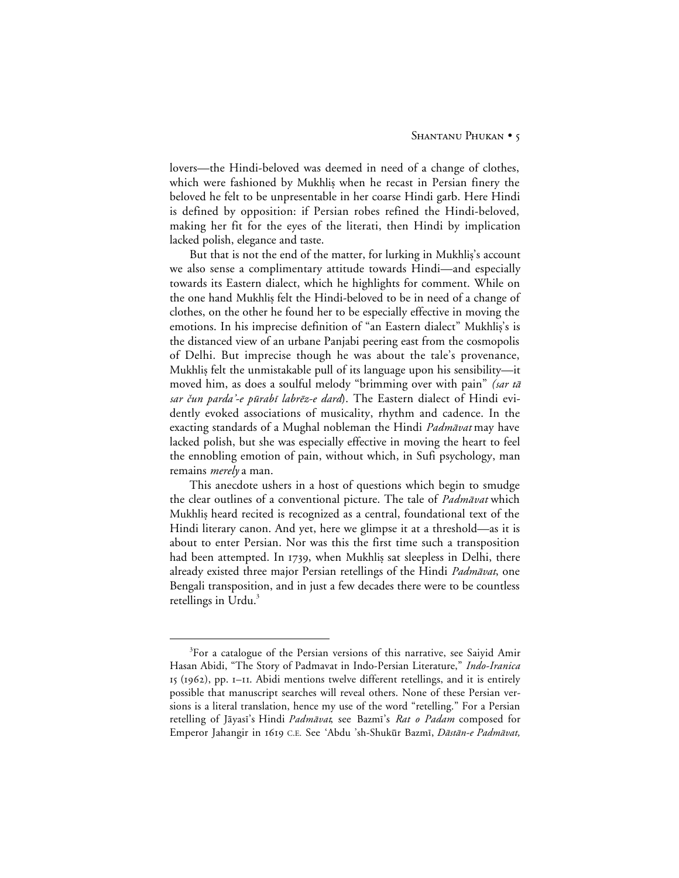lovers—the Hindi-beloved was deemed in need of a change of clothes, which were fashioned by Mukhlis when he recast in Persian finery the beloved he felt to be unpresentable in her coarse Hindi garb. Here Hindi is defined by opposition: if Persian robes refined the Hindi-beloved, making her fit for the eyes of the literati, then Hindi by implication lacked polish, elegance and taste.

But that is not the end of the matter, for lurking in Mukhlis's account we also sense a complimentary attitude towards Hindi—and especially towards its Eastern dialect, which he highlights for comment. While on the one hand Mukhlis felt the Hindi-beloved to be in need of a change of clothes, on the other he found her to be especially effective in moving the emotions. In his imprecise definition of "an Eastern dialect" Mukhlis's is the distanced view of an urbane Panjabi peering east from the cosmopolis of Delhi. But imprecise though he was about the tale's provenance, Mukhlis felt the unmistakable pull of its language upon his sensibility—it moved him, as does a soulful melody "brimming over with pain" *(sar tā* sar čun parda'-e pūrabī labrēz-e dard). The Eastern dialect of Hindi evidently evoked associations of musicality, rhythm and cadence. In the exacting standards of a Mughal nobleman the Hindi Padmāvat may have lacked polish, but she was especially effective in moving the heart to feel the ennobling emotion of pain, without which, in Sufi psychology, man remains *merely* a man.

This anecdote ushers in a host of questions which begin to smudge the clear outlines of a conventional picture. The tale of *Padmāvat* which Mukhlis heard recited is recognized as a central, foundational text of the Hindi literary canon. And yet, here we glimpse it at a threshold—as it is about to enter Persian. Nor was this the first time such a transposition had been attempted. In 1739, when Mukhlis sat sleepless in Delhi, there already existed three major Persian retellings of the Hindi Padmāvat, one Bengali transposition, and in just a few decades there were to be countless retellings in Urdu.<sup>3</sup>

 $\frac{1}{3}$  ${}^{3}$ For a catalogue of the Persian versions of this narrative, see Saiyid Amir Hasan Abidi, "The Story of Padmavat in Indo-Persian Literature," *Indo-Iranica*  $I_5$  (1962), pp. I-II. Abidi mentions twelve different retellings, and it is entirely possible that manuscript searches will reveal others. None of these Persian versions is a literal translation, hence my use of the word "retelling." For a Persian retelling of Jāyasī's Hindi Padmāvat, see Bazmī's Rat o Padam composed for Emperor Jahangir in 1619 C.E. See 'Abdu 'sh-Shukūr Bazmī, Dāstān-e Padmāvat,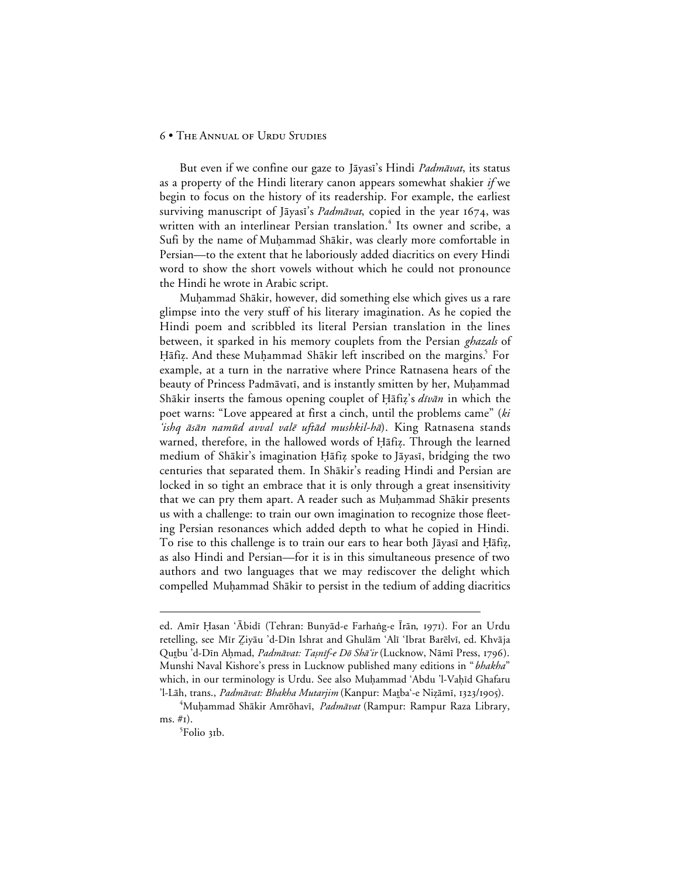But even if we confine our gaze to Jāyasī's Hindi *Padmāvat*, its status as a property of the Hindi literary canon appears somewhat shakier *if* we begin to focus on the history of its readership. For example, the earliest surviving manuscript of Jāyasī's Padmāvat, copied in the year 1674, was written with an interlinear Persian translation.<sup>4</sup> Its owner and scribe, a Sufi by the name of Muhammad Shākir, was clearly more comfortable in Persian—to the extent that he laboriously added diacritics on every Hindi word to show the short vowels without which he could not pronounce the Hindi he wrote in Arabic script.

Muhammad Shākir, however, did something else which gives us a rare glimpse into the very stuff of his literary imagination. As he copied the Hindi poem and scribbled its literal Persian translation in the lines between, it sparked in his memory couplets from the Persian *ghazals* of Hāfiz. And these Muḥammad Shākir left inscribed on the margins.<sup>5</sup> For example, at a turn in the narrative where Prince Ratnasena hears of the beauty of Princess Padmāvatī, and is instantly smitten by her, Muḥammad Shākir inserts the famous opening couplet of Hāfiz's dīvān in which the poet warns: "Love appeared at first a cinch, until the problems came" (ki 'ishq āsān namūd avval valē uftād mushkil-hā). King Ratnasena stands warned, therefore, in the hallowed words of Hāfiz. Through the learned medium of Shākir's imagination Hāfiz spoke to Jāyasī, bridging the two centuries that separated them. In Shākir's reading Hindi and Persian are locked in so tight an embrace that it is only through a great insensitivity that we can pry them apart. A reader such as Muḥammad Shākir presents us with a challenge: to train our own imagination to recognize those fleeting Persian resonances which added depth to what he copied in Hindi. To rise to this challenge is to train our ears to hear both Jāyasī and Hāfiz, as also Hindi and Persian—for it is in this simultaneous presence of two authors and two languages that we may rediscover the delight which compelled Muhammad Shākir to persist in the tedium of adding diacritics

 $\overline{a}$ 

ed. Amīr Ḥasan ʿĀbidī (Tehran: Bunyād-e Farhaṅg-e Īrān, 1971). For an Urdu retelling, see Mīr Ziyāu 'd-Dīn Ishrat and Ghulām 'Alī 'Ibrat Barēlvī, ed. Khvāja Qutbu 'd-Dīn Aḥmad, Padmāvat: Taṣnīf-e Dō Shā'ir (Lucknow, Nāmī Press, 1796). Munshi Naval Kishore's press in Lucknow published many editions in "*bhakha*" which, in our terminology is Urdu. See also Muḥammad 'Abdu 'l-Vaḥīd Ghafaru 'l-Lāh, trans., *Padmāvat: Bhakha Mutarjim* (Kanpur: Matba'-e Nizāmī, 1323/1905).

<sup>&</sup>lt;sup>4</sup>Muḥammad Shākir Amrōhavī, *Padmāvat* (Rampur: Rampur Raza Library, ms.  $\#$ I).

<sup>&</sup>lt;sup>5</sup>Folio 31b.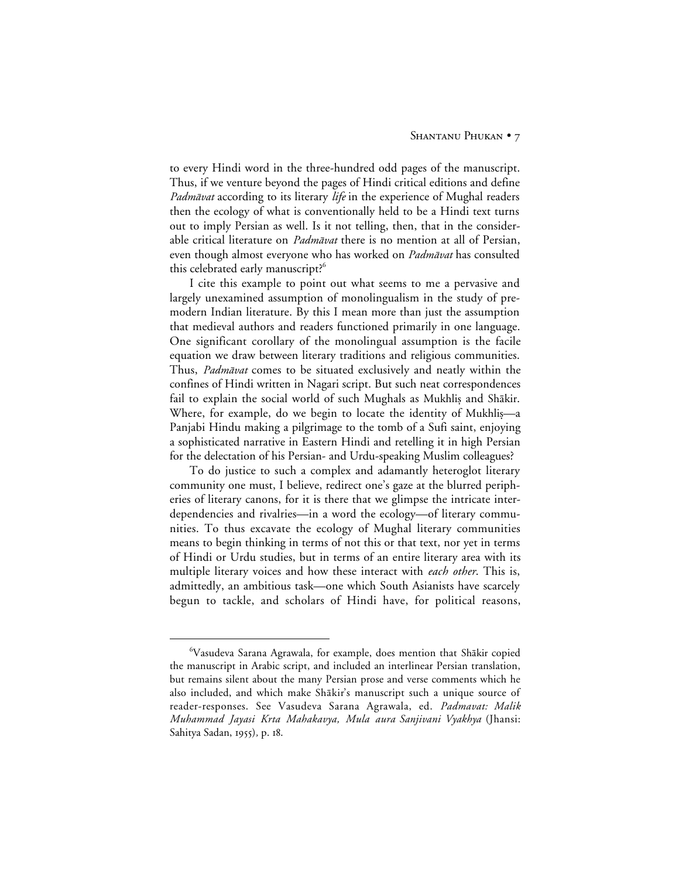to every Hindi word in the three-hundred odd pages of the manuscript. Thus, if we venture beyond the pages of Hindi critical editions and define *Padmāvat* according to its literary *life* in the experience of Mughal readers then the ecology of what is conventionally held to be a Hindi text turns out to imply Persian as well. Is it not telling, then, that in the considerable critical literature on *Padmāvat* there is no mention at all of Persian, even though almost everyone who has worked on Padmāvat has consulted this celebrated early manuscript?<sup>6</sup>

I cite this example to point out what seems to me a pervasive and largely unexamined assumption of monolingualism in the study of premodern Indian literature. By this I mean more than just the assumption that medieval authors and readers functioned primarily in one language. One significant corollary of the monolingual assumption is the facile equation we draw between literary traditions and religious communities. Thus, Padmāvat comes to be situated exclusively and neatly within the confines of Hindi written in Nagari script. But such neat correspondences fail to explain the social world of such Mughals as Mukhlis and Shākir. Where, for example, do we begin to locate the identity of Mukhlis—a Panjabi Hindu making a pilgrimage to the tomb of a Sufi saint, enjoying a sophisticated narrative in Eastern Hindi and retelling it in high Persian for the delectation of his Persian- and Urdu-speaking Muslim colleagues?

To do justice to such a complex and adamantly heteroglot literary community one must, I believe, redirect one's gaze at the blurred peripheries of literary canons, for it is there that we glimpse the intricate interdependencies and rivalries—in a word the ecology—of literary communities. To thus excavate the ecology of Mughal literary communities means to begin thinking in terms of not this or that text, nor yet in terms of Hindi or Urdu studies, but in terms of an entire literary area with its multiple literary voices and how these interact with *each other*. This is, admittedly, an ambitious task—one which South Asianists have scarcely begun to tackle, and scholars of Hindi have, for political reasons,

 <sup>6</sup> <sup>6</sup>Vasudeva Sarana Agrawala, for example, does mention that Shākir copied the manuscript in Arabic script, and included an interlinear Persian translation, but remains silent about the many Persian prose and verse comments which he also included, and which make Shākir's manuscript such a unique source of reader-responses. See Vasudeva Sarana Agrawala, ed. *Padmavat: Malik Muhammad Jayasi Krta Mahakavya, Mula aura Sanjivani Vyakhya* (Jhansi: Sahitya Sadan, 1955), p. 18.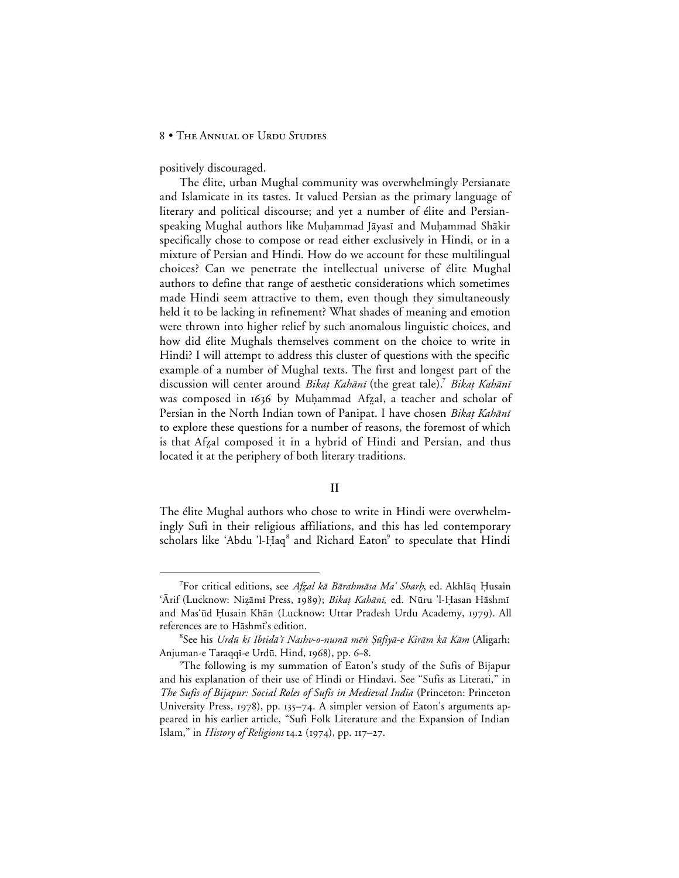positively discouraged.

The élite, urban Mughal community was overwhelmingly Persianate and Islamicate in its tastes. It valued Persian as the primary language of literary and political discourse; and yet a number of élite and Persianspeaking Mughal authors like Muḥammad Jāyasī and Muḥammad Shākir specifically chose to compose or read either exclusively in Hindi, or in a mixture of Persian and Hindi. How do we account for these multilingual choices? Can we penetrate the intellectual universe of élite Mughal authors to define that range of aesthetic considerations which sometimes made Hindi seem attractive to them, even though they simultaneously held it to be lacking in refinement? What shades of meaning and emotion were thrown into higher relief by such anomalous linguistic choices, and how did élite Mughals themselves comment on the choice to write in Hindi? I will attempt to address this cluster of questions with the specific example of a number of Mughal texts. The first and longest part of the discussion will center around Bikat Kahānī (the great tale).<sup>7</sup> Bikat Kahānī was composed in 1636 by Muḥammad Afzal, a teacher and scholar of Persian in the North Indian town of Panipat. I have chosen Bikaț Kahānī to explore these questions for a number of reasons, the foremost of which is that Afzal composed it in a hybrid of Hindi and Persian, and thus located it at the periphery of both literary traditions.

## **II**

The élite Mughal authors who chose to write in Hindi were overwhelmingly Sufi in their religious affiliations, and this has led contemporary scholars like 'Abdu 'l-Ḥaq<sup>8</sup> and Richard Eaton<sup>9</sup> to speculate that Hindi

 $\frac{1}{7}$ <sup>7</sup>For critical editions, see Afzal kā Bārahmāsa Ma' Sharh, ed. Akhlāq Ḥusain 'Ārif (Lucknow: Nizāmī Press, 1989); *Bikat Kahānī*, ed. Nūru 'l-Hasan Hāshmī and Mas'ūd Ḥusain Khān (Lucknow: Uttar Pradesh Urdu Academy, 1979). All references are to Hāshmī's edition.

<sup>&</sup>lt;sup>8</sup>See his *Urdū kī Ibtidā'ī Nashv-o-numā mēn Şūfiyā-e Kirām kā Kām* (Aligarh: Anjuman-e Taraqqī-e Urdū, Hind, 1968), pp. 6-8.

<sup>9</sup> The following is my summation of Eaton's study of the Sufis of Bijapur and his explanation of their use of Hindi or Hindavi. See "Sufis as Literati," in *The Sufis of Bijapur: Social Roles of Sufis in Medieval India* (Princeton: Princeton University Press, 1978), pp. 135-74. A simpler version of Eaton's arguments appeared in his earlier article, "Sufi Folk Literature and the Expansion of Indian Islam," in *History of Religions* 14.2 (1974), pp. 117-27.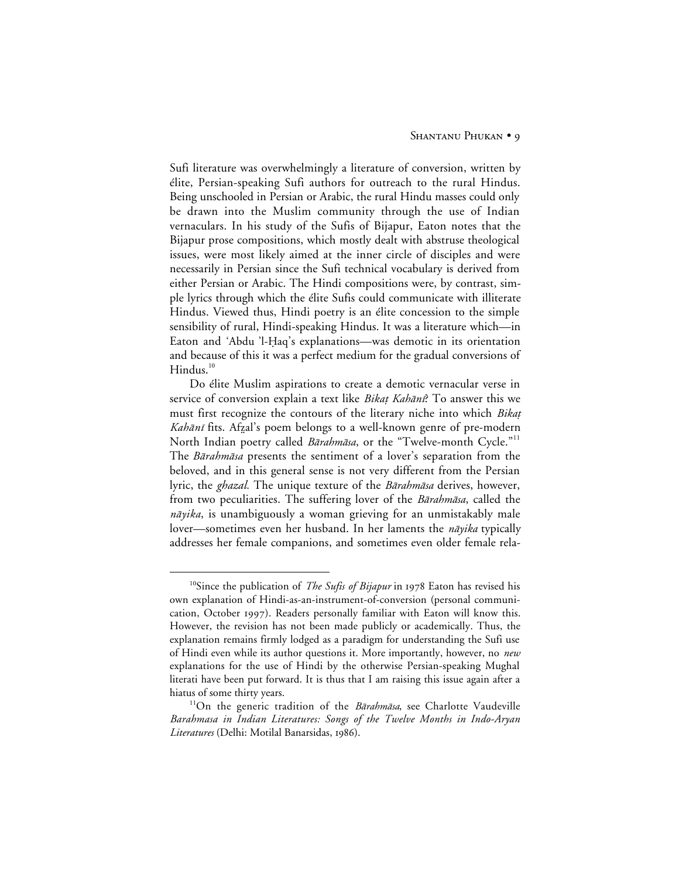Sufi literature was overwhelmingly a literature of conversion, written by élite, Persian-speaking Sufi authors for outreach to the rural Hindus. Being unschooled in Persian or Arabic, the rural Hindu masses could only be drawn into the Muslim community through the use of Indian vernaculars. In his study of the Sufis of Bijapur, Eaton notes that the Bijapur prose compositions, which mostly dealt with abstruse theological issues, were most likely aimed at the inner circle of disciples and were necessarily in Persian since the Sufi technical vocabulary is derived from either Persian or Arabic. The Hindi compositions were, by contrast, simple lyrics through which the élite Sufis could communicate with illiterate Hindus. Viewed thus, Hindi poetry is an élite concession to the simple sensibility of rural, Hindi-speaking Hindus. It was a literature which—in Eaton and 'Abdu 'l-Ḥaq's explanations—was demotic in its orientation and because of this it was a perfect medium for the gradual conversions of  $Hindus.<sup>10</sup>$ 

Do élite Muslim aspirations to create a demotic vernacular verse in service of conversion explain a text like *Bikat Kahānī*? To answer this we must first recognize the contours of the literary niche into which Bikat Kahānī fits. Afzal's poem belongs to a well-known genre of pre-modern North Indian poetry called *Bārahmāsa*, or the "Twelve-month Cycle."<sup>11</sup> The Barahmasa presents the sentiment of a lover's separation from the beloved, and in this general sense is not very different from the Persian lyric, the *ghazal*. The unique texture of the *Bārahmāsa* derives, however, from two peculiarities. The suffering lover of the *Bārahmāsa*, called the  $n\bar{a}yika$ , is unambiguously a woman grieving for an unmistakably male lover—sometimes even her husband. In her laments the *nāyika* typically addresses her female companions, and sometimes even older female rela-

<sup>&</sup>lt;sup>10</sup>Since the publication of *The Sufis of Bijapur* in 1978 Eaton has revised his own explanation of Hindi-as-an-instrument-of-conversion (personal communication, October 1997). Readers personally familiar with Eaton will know this. However, the revision has not been made publicly or academically. Thus, the explanation remains firmly lodged as a paradigm for understanding the Sufi use of Hindi even while its author questions it. More importantly, however, no *new* explanations for the use of Hindi by the otherwise Persian-speaking Mughal literati have been put forward. It is thus that I am raising this issue again after a hiatus of some thirty years.

<sup>&</sup>lt;sup>11</sup>On the generic tradition of the Barahmasa, see Charlotte Vaudeville *Barahmasa in Indian Literatures: Songs of the Twelve Months in Indo-Aryan* Literatures (Delhi: Motilal Banarsidas, 1986).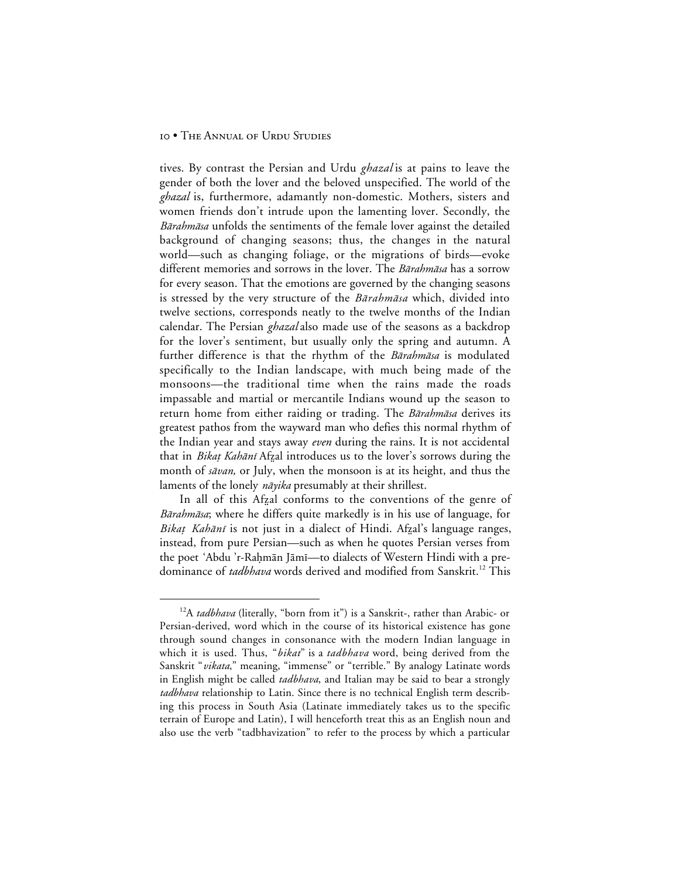tives. By contrast the Persian and Urdu *ghazal* is at pains to leave the gender of both the lover and the beloved unspecified. The world of the *ghazal* is, furthermore, adamantly non-domestic. Mothers, sisters and women friends don't intrude upon the lamenting lover. Secondly, the Bārahmāsa unfolds the sentiments of the female lover against the detailed background of changing seasons; thus, the changes in the natural world—such as changing foliage, or the migrations of birds—evoke different memories and sorrows in the lover. The *Bārahmāsa* has a sorrow for every season. That the emotions are governed by the changing seasons is stressed by the very structure of the *Bārahmāsa* which, divided into twelve sections, corresponds neatly to the twelve months of the Indian calendar. The Persian *ghazal* also made use of the seasons as a backdrop for the lover's sentiment, but usually only the spring and autumn. A further difference is that the rhythm of the *Bārahmāsa* is modulated specifically to the Indian landscape, with much being made of the monsoons—the traditional time when the rains made the roads impassable and martial or mercantile Indians wound up the season to return home from either raiding or trading. The Barahmasa derives its greatest pathos from the wayward man who defies this normal rhythm of the Indian year and stays away *even* during the rains. It is not accidental that in Bikat Kahānī Afzal introduces us to the lover's sorrows during the month of *sāvan*, or July, when the monsoon is at its height, and thus the laments of the lonely *nāyika* presumably at their shrillest.

In all of this Afzal conforms to the conventions of the genre of *Bārahmāsa*; where he differs quite markedly is in his use of language, for Bikat Kahānī is not just in a dialect of Hindi. Afzal's language ranges, instead, from pure Persian—such as when he quotes Persian verses from the poet 'Abdu 'r-Raḥmān Jāmī—to dialects of Western Hindi with a predominance of *tadbhava* words derived and modified from Sanskrit.<sup>12</sup> This

<sup>&</sup>lt;sup>12</sup>A *tadbhava* (literally, "born from it") is a Sanskrit-, rather than Arabic- or Persian-derived, word which in the course of its historical existence has gone through sound changes in consonance with the modern Indian language in which it is used. Thus, "*bikat*" is a *tadbhava* word, being derived from the Sanskrit "*vikata*," meaning, "immense" or "terrible." By analogy Latinate words in English might be called *tadbhava*, and Italian may be said to bear a strongly *tadbhava* relationship to Latin. Since there is no technical English term describing this process in South Asia (Latinate immediately takes us to the specific terrain of Europe and Latin), I will henceforth treat this as an English noun and also use the verb "tadbhavization" to refer to the process by which a particular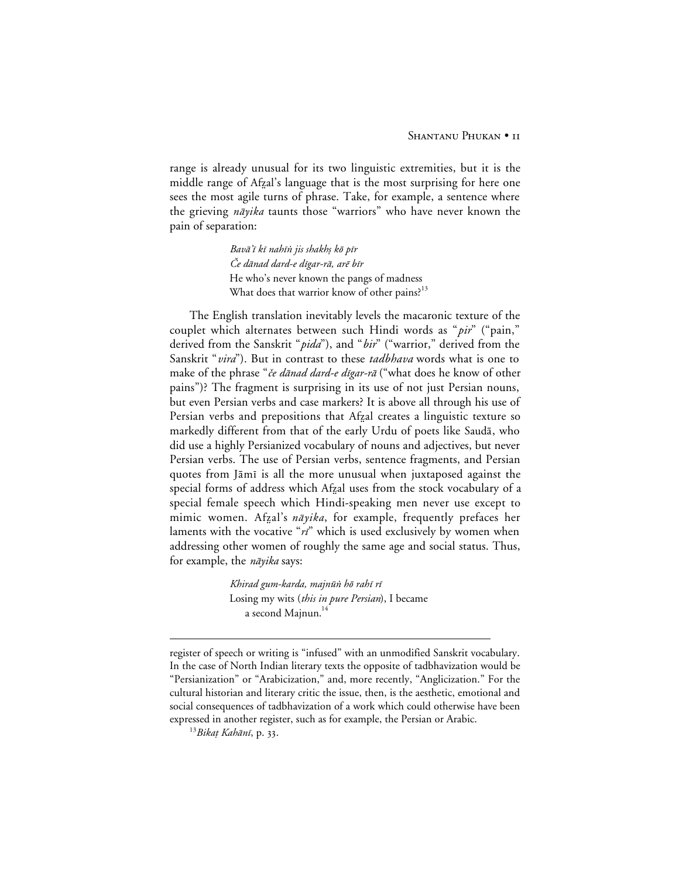range is already unusual for its two linguistic extremities, but it is the middle range of Afzal's language that is the most surprising for here one sees the most agile turns of phrase. Take, for example, a sentence where the grieving *nāyika* taunts those "warriors" who have never known the pain of separation:

> Bavā'ī kī nahīn jis shakhṣ kō pīr Če dānad dard-e dīgar-rā, arē bīr He who's never known the pangs of madness What does that warrior know of other pains?<sup>13</sup>

The English translation inevitably levels the macaronic texture of the couplet which alternates between such Hindi words as "*pir*" ("pain," derived from the Sanskrit "*pida*"), and "*bir*" ("warrior," derived from the Sanskrit "*vira*"). But in contrast to these *tadbhava* words what is one to make of the phrase "če dānad dard-e dīgar-rā ("what does he know of other pains")? The fragment is surprising in its use of not just Persian nouns, but even Persian verbs and case markers? It is above all through his use of Persian verbs and prepositions that Afzal creates a linguistic texture so markedly different from that of the early Urdu of poets like Saudā, who did use a highly Persianized vocabulary of nouns and adjectives, but never Persian verbs. The use of Persian verbs, sentence fragments, and Persian quotes from Jāmī is all the more unusual when juxtaposed against the special forms of address which Afzal uses from the stock vocabulary of a special female speech which Hindi-speaking men never use except to mimic women. Afzal's nāyika, for example, frequently prefaces her laments with the vocative " $ri$ " which is used exclusively by women when addressing other women of roughly the same age and social status. Thus, for example, the *nāyika* says:

> Khirad gum-karda, majnūn hō rahī rī Losing my wits (*this in pure Persian*), I became a second Majnun.<sup>14</sup>

 $\overline{a}$ 

register of speech or writing is "infused" with an unmodified Sanskrit vocabulary. In the case of North Indian literary texts the opposite of tadbhavization would be "Persianization" or "Arabicization," and, more recently, "Anglicization." For the cultural historian and literary critic the issue, then, is the aesthetic, emotional and social consequences of tadbhavization of a work which could otherwise have been expressed in another register, such as for example, the Persian or Arabic.

 $^{13}Bikat$  Kahānī, p. 33.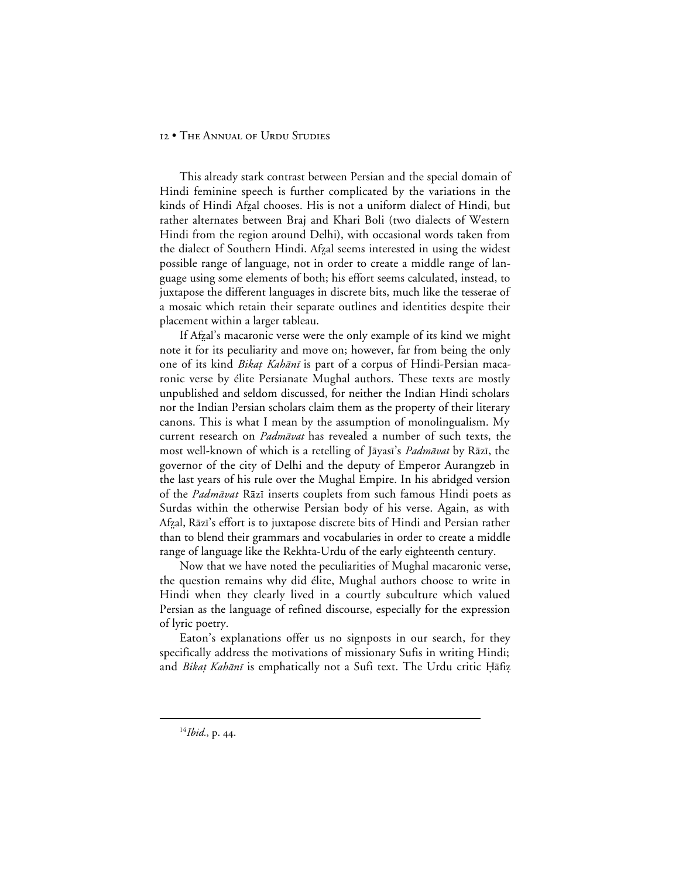This already stark contrast between Persian and the special domain of Hindi feminine speech is further complicated by the variations in the kinds of Hindi Afzal chooses. His is not a uniform dialect of Hindi, but rather alternates between Braj and Khari Boli (two dialects of Western Hindi from the region around Delhi), with occasional words taken from the dialect of Southern Hindi. Afzal seems interested in using the widest possible range of language, not in order to create a middle range of language using some elements of both; his effort seems calculated, instead, to juxtapose the different languages in discrete bits, much like the tesserae of a mosaic which retain their separate outlines and identities despite their placement within a larger tableau.

If Afzal's macaronic verse were the only example of its kind we might note it for its peculiarity and move on; however, far from being the only one of its kind *Bikat Kahānī* is part of a corpus of Hindi-Persian macaronic verse by élite Persianate Mughal authors. These texts are mostly unpublished and seldom discussed, for neither the Indian Hindi scholars nor the Indian Persian scholars claim them as the property of their literary canons. This is what I mean by the assumption of monolingualism. My current research on *Padmāvat* has revealed a number of such texts, the most well-known of which is a retelling of Jāyasī's Padmāvat by Rāzī, the governor of the city of Delhi and the deputy of Emperor Aurangzeb in the last years of his rule over the Mughal Empire. In his abridged version of the *Padmāvat* Rāzī inserts couplets from such famous Hindi poets as Surdas within the otherwise Persian body of his verse. Again, as with Afzal, Rāzī's effort is to juxtapose discrete bits of Hindi and Persian rather than to blend their grammars and vocabularies in order to create a middle range of language like the Rekhta-Urdu of the early eighteenth century.

Now that we have noted the peculiarities of Mughal macaronic verse, the question remains why did élite, Mughal authors choose to write in Hindi when they clearly lived in a courtly subculture which valued Persian as the language of refined discourse, especially for the expression of lyric poetry.

Eaton's explanations offer us no signposts in our search, for they specifically address the motivations of missionary Sufis in writing Hindi; and *Bikaț Kahānī* is emphatically not a Sufi text. The Urdu critic Hāfiz

<sup>&</sup>lt;sup>14</sup>*Ibid.*, p. 44.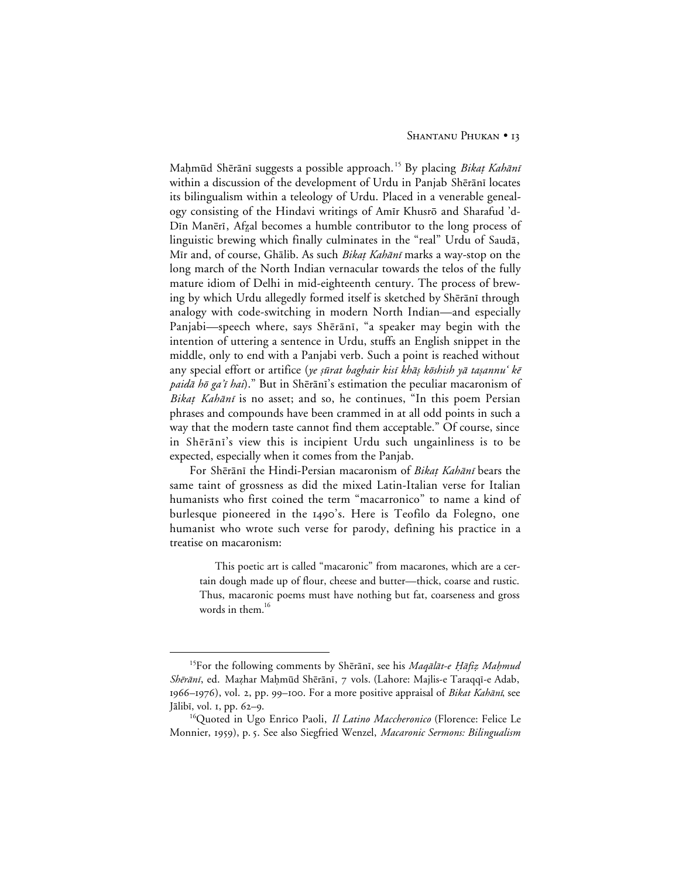Maḥmūd Shērānī suggests a possible approach.<sup>15</sup> By placing Bikaț Kahānī within a discussion of the development of Urdu in Panjab Shērānī locates its bilingualism within a teleology of Urdu. Placed in a venerable genealogy consisting of the Hindavi writings of Amīr Khusrō and Sharafud 'd-Din Manērī, Afzal becomes a humble contributor to the long process of linguistic brewing which finally culminates in the "real" Urdu of Saudā, Mīr and, of course, Ghālib. As such Bikaț Kahānī marks a way-stop on the long march of the North Indian vernacular towards the telos of the fully mature idiom of Delhi in mid-eighteenth century. The process of brewing by which Urdu allegedly formed itself is sketched by Shērānī through analogy with code-switching in modern North Indian—and especially Panjabi—speech where, says Shērānī, "a speaker may begin with the intention of uttering a sentence in Urdu, stuffs an English snippet in the middle, only to end with a Panjabi verb. Such a point is reached without any special effort or artifice (ye sūrat baghair kisī khās kōshish yā taṣannu' kē paidā hō ga'ī hai)." But in Shērānī's estimation the peculiar macaronism of Bikaț Kahānī is no asset; and so, he continues, "In this poem Persian phrases and compounds have been crammed in at all odd points in such a way that the modern taste cannot find them acceptable." Of course, since in Shērānī's view this is incipient Urdu such ungainliness is to be expected, especially when it comes from the Panjab.

For Shērānī the Hindi-Persian macaronism of Bikat Kahānī bears the same taint of grossness as did the mixed Latin-Italian verse for Italian humanists who first coined the term "macarronico" to name a kind of burlesque pioneered in the 1490's. Here is Teofilo da Folegno, one humanist who wrote such verse for parody, defining his practice in a treatise on macaronism:

This poetic art is called "macaronic" from macarones, which are a certain dough made up of flour, cheese and butter—thick, coarse and rustic. Thus, macaronic poems must have nothing but fat, coarseness and gross words in them. $16$ 

<sup>&</sup>lt;sup>15</sup>For the following comments by Shērānī, see his *Magālāt-e Hāfiz Mahmud* Shērānī, ed. Mazhar Mahmūd Shērānī, 7 vols. (Lahore: Majlis-e Taraqqī-e Adab,  $1966-1976$ , vol. 2, pp. 99–100. For a more positive appraisal of *Bikat Kahān*, see Jālibī, vol. 1, pp. 62-9.

<sup>&</sup>lt;sup>16</sup>Quoted in Ugo Enrico Paoli, *Il Latino Maccheronico* (Florence: Felice Le Monnier, 1959), p. 5. See also Siegfried Wenzel, *Macaronic Sermons: Bilingualism*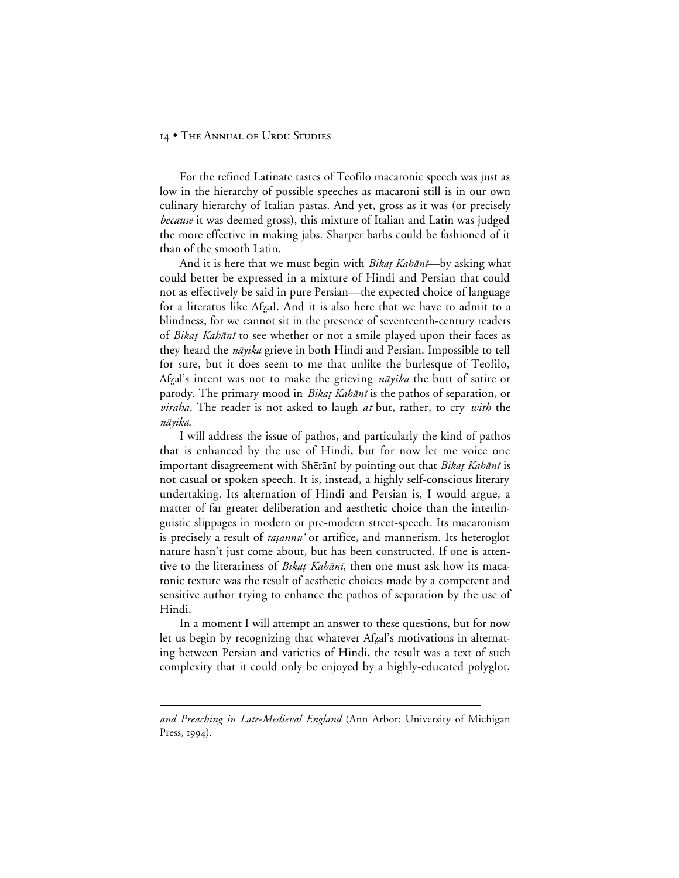For the refined Latinate tastes of Teofilo macaronic speech was just as low in the hierarchy of possible speeches as macaroni still is in our own culinary hierarchy of Italian pastas. And yet, gross as it was (or precisely *because* it was deemed gross), this mixture of Italian and Latin was judged the more effective in making jabs. Sharper barbs could be fashioned of it than of the smooth Latin.

And it is here that we must begin with *Bikat Kahānī*—by asking what could better be expressed in a mixture of Hindi and Persian that could not as effectively be said in pure Persian—the expected choice of language for a literatus like Afzal. And it is also here that we have to admit to a blindness, for we cannot sit in the presence of seventeenth-century readers of Bikat Kahānī to see whether or not a smile played upon their faces as they heard the *nāyika* grieve in both Hindi and Persian. Impossible to tell for sure, but it does seem to me that unlike the burlesque of Teofilo, Afzal's intent was not to make the grieving *nāyika* the butt of satire or parody. The primary mood in *Bikat Kahānī* is the pathos of separation, or *viraha*. The reader is not asked to laugh *at* but, rather, to cry *with* the nāyika.

I will address the issue of pathos, and particularly the kind of pathos that is enhanced by the use of Hindi, but for now let me voice one important disagreement with Shērānī by pointing out that Bikaț Kahānī is not casual or spoken speech. It is, instead, a highly self-conscious literary undertaking. Its alternation of Hindi and Persian is, I would argue, a matter of far greater deliberation and aesthetic choice than the interlinguistic slippages in modern or pre-modern street-speech. Its macaronism is precisely a result of *tasannu* or artifice, and mannerism. Its heteroglot nature hasn't just come about, but has been constructed. If one is attentive to the literariness of *Bikat Kahānī*, then one must ask how its macaronic texture was the result of aesthetic choices made by a competent and sensitive author trying to enhance the pathos of separation by the use of Hindi.

In a moment I will attempt an answer to these questions, but for now let us begin by recognizing that whatever Afzal's motivations in alternating between Persian and varieties of Hindi, the result was a text of such complexity that it could only be enjoyed by a highly-educated polyglot,

 $\overline{a}$ 

*and Preaching in Late-Medieval England* (Ann Arbor: University of Michigan Press,  $1994$ ).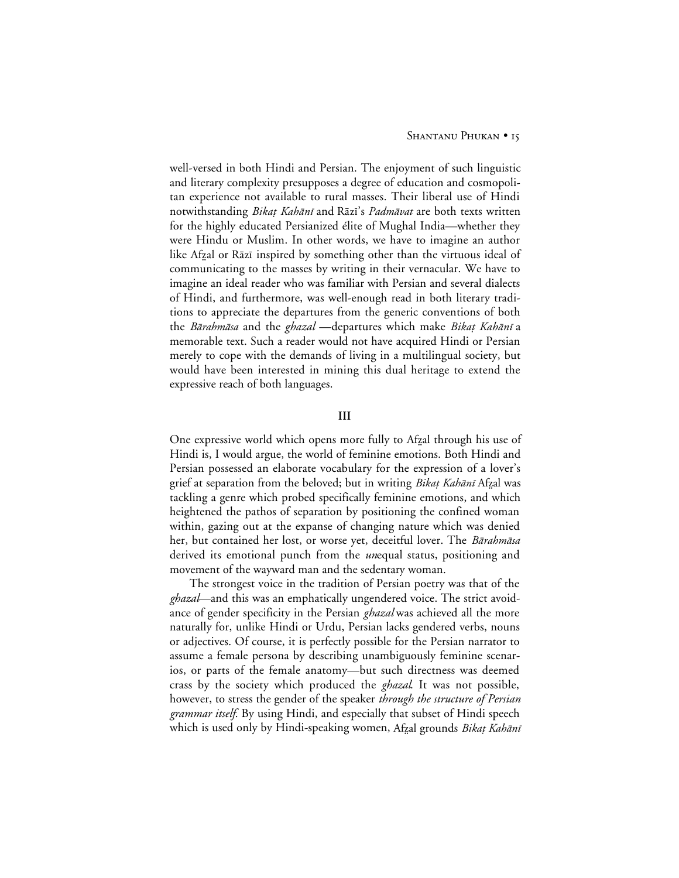well-versed in both Hindi and Persian. The enjoyment of such linguistic and literary complexity presupposes a degree of education and cosmopolitan experience not available to rural masses. Their liberal use of Hindi notwithstanding *Bikat Kahānī* and Rāzī's *Padmāvat* are both texts written for the highly educated Persianized élite of Mughal India—whether they were Hindu or Muslim. In other words, we have to imagine an author like Afzal or Rāzī inspired by something other than the virtuous ideal of communicating to the masses by writing in their vernacular. We have to imagine an ideal reader who was familiar with Persian and several dialects of Hindi, and furthermore, was well-enough read in both literary traditions to appreciate the departures from the generic conventions of both the Bārahmāsa and the ghazal —departures which make Bikaț Kahānī a memorable text. Such a reader would not have acquired Hindi or Persian merely to cope with the demands of living in a multilingual society, but would have been interested in mining this dual heritage to extend the expressive reach of both languages.

#### **III**

One expressive world which opens more fully to Afzal through his use of Hindi is, I would argue, the world of feminine emotions. Both Hindi and Persian possessed an elaborate vocabulary for the expression of a lover's grief at separation from the beloved; but in writing *Bikat Kahānī* Afzal was tackling a genre which probed specifically feminine emotions, and which heightened the pathos of separation by positioning the confined woman within, gazing out at the expanse of changing nature which was denied her, but contained her lost, or worse yet, deceitful lover. The *Bārahmāsa* derived its emotional punch from the *un*equal status, positioning and movement of the wayward man and the sedentary woman.

The strongest voice in the tradition of Persian poetry was that of the *ghazal*—and this was an emphatically ungendered voice. The strict avoidance of gender specificity in the Persian *ghazal* was achieved all the more naturally for, unlike Hindi or Urdu, Persian lacks gendered verbs, nouns or adjectives. Of course, it is perfectly possible for the Persian narrator to assume a female persona by describing unambiguously feminine scenarios, or parts of the female anatomy—but such directness was deemed crass by the society which produced the *ghazal*. It was not possible, however, to stress the gender of the speaker *through the structure of Persian grammar itself*. By using Hindi, and especially that subset of Hindi speech which is used only by Hindi-speaking women, Afzal grounds Bikat Kahānī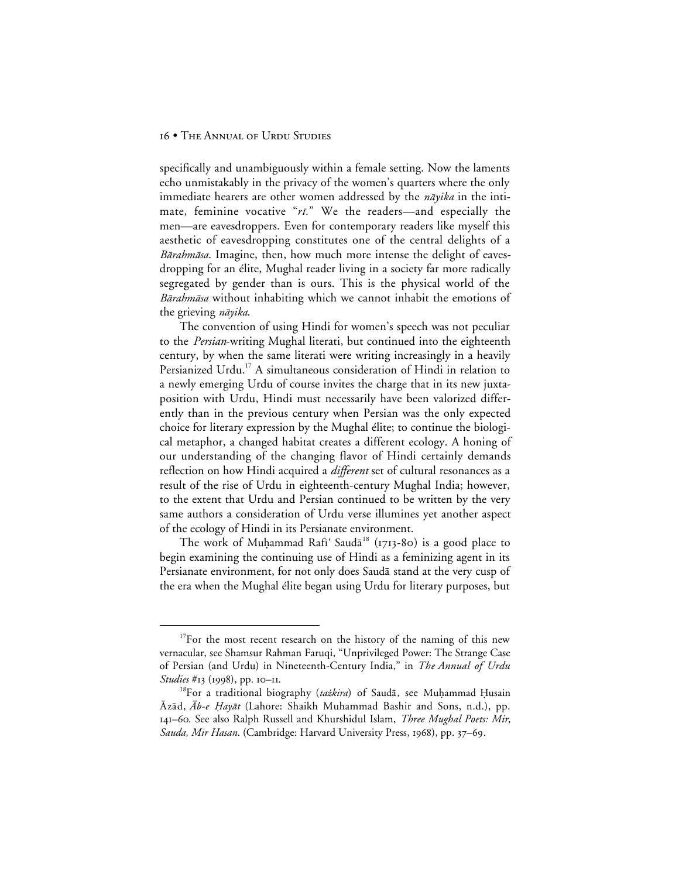specifically and unambiguously within a female setting. Now the laments echo unmistakably in the privacy of the women's quarters where the only immediate hearers are other women addressed by the  $n\bar{a}yika$  in the intimate, feminine vocative " $ri$ ." We the readers—and especially the men—are eavesdroppers. Even for contemporary readers like myself this aesthetic of eavesdropping constitutes one of the central delights of a Bārahmāsa. Imagine, then, how much more intense the delight of eavesdropping for an élite, Mughal reader living in a society far more radically segregated by gender than is ours. This is the physical world of the Bārahmāsa without inhabiting which we cannot inhabit the emotions of the grieving *nāyika*.

The convention of using Hindi for women's speech was not peculiar to the *Persian*-writing Mughal literati, but continued into the eighteenth century, by when the same literati were writing increasingly in a heavily Persianized Urdu.<sup>17</sup> A simultaneous consideration of Hindi in relation to a newly emerging Urdu of course invites the charge that in its new juxtaposition with Urdu, Hindi must necessarily have been valorized differently than in the previous century when Persian was the only expected choice for literary expression by the Mughal élite; to continue the biological metaphor, a changed habitat creates a different ecology. A honing of our understanding of the changing flavor of Hindi certainly demands reflection on how Hindi acquired a *different* set of cultural resonances as a result of the rise of Urdu in eighteenth-century Mughal India; however, to the extent that Urdu and Persian continued to be written by the very same authors a consideration of Urdu verse illumines yet another aspect of the ecology of Hindi in its Persianate environment.

The work of Muhammad Rafi' Saud $a^{18}$  (1713-80) is a good place to begin examining the continuing use of Hindi as a feminizing agent in its Persianate environment, for not only does Sauda stand at the very cusp of the era when the Mughal élite began using Urdu for literary purposes, but

 $17$ For the most recent research on the history of the naming of this new vernacular, see Shamsur Rahman Faruqi, "Unprivileged Power: The Strange Case of Persian (and Urdu) in Nineteenth-Century India," in *The Annual of Urdu Studies* #13 (1998), pp. 10–11.

<sup>&</sup>lt;sup>18</sup>For a traditional biography (tażkira) of Saudā, see Muhammad Husain  $\bar{A}z\bar{a}d$ ,  $\bar{A}b-e$  Hayāt (Lahore: Shaikh Muhammad Bashir and Sons, n.d.), pp. 141–60. See also Ralph Russell and Khurshidul Islam, *Three Mughal Poets: Mir, Sauda, Mir Hasan.* (Cambridge: Harvard University Press, 1968), pp. 37–69.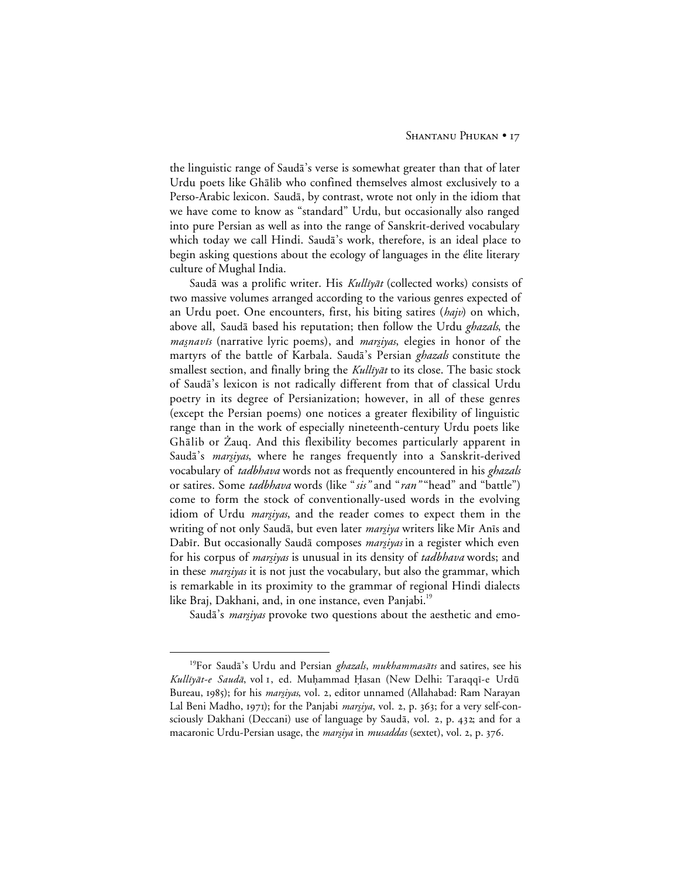the linguistic range of Sauda's verse is somewhat greater than that of later Urdu poets like Ghālib who confined themselves almost exclusively to a Perso-Arabic lexicon. Saudā, by contrast, wrote not only in the idiom that we have come to know as "standard" Urdu, but occasionally also ranged into pure Persian as well as into the range of Sanskrit-derived vocabulary which today we call Hindi. Saudā's work, therefore, is an ideal place to begin asking questions about the ecology of languages in the élite literary culture of Mughal India.

Saudā was a prolific writer. His Kullīyāt (collected works) consists of two massive volumes arranged according to the various genres expected of an Urdu poet. One encounters, first, his biting satires (*hajv*) on which, above all, Saud<del>a</del> based his reputation; then follow the Urdu *ghazals*, the *masnavis* (narrative lyric poems), and *marsiyas*, elegies in honor of the martyrs of the battle of Karbala. Saudā's Persian *ghazals* constitute the smallest section, and finally bring the Kullīyāt to its close. The basic stock of Saudā's lexicon is not radically different from that of classical Urdu poetry in its degree of Persianization; however, in all of these genres (except the Persian poems) one notices a greater flexibility of linguistic range than in the work of especially nineteenth-century Urdu poets like Ghālib or Żauq. And this flexibility becomes particularly apparent in Saudā's *marsiyas*, where he ranges frequently into a Sanskrit-derived vocabulary of *tadbhava* words not as frequently encountered in his *ghazals* or satires. Some *tadbhava* words (like "*sis"* and "*ran"* "head" and "battle") come to form the stock of conventionally-used words in the evolving idiom of Urdu *marsiyas*, and the reader comes to expect them in the writing of not only Saudā, but even later *marşiya* writers like Mīr Anīs and Dabīr. But occasionally Saudā composes marsiyas in a register which even for his corpus of *marsiyas* is unusual in its density of *tadbhava* words; and in these *margiyas* it is not just the vocabulary, but also the grammar, which is remarkable in its proximity to the grammar of regional Hindi dialects like Braj, Dakhani, and, in one instance, even Panjabi.<sup>19</sup>

Saudā's *marsiyas* provoke two questions about the aesthetic and emo-

<sup>&</sup>lt;sup>19</sup>For Saudā's Urdu and Persian *ghazals*, mukhammasāts and satires, see his Kullīyāt-e Saudā, vol 1, ed. Muhammad Hasan (New Delhi: Taraqqī-e Urdū Bureau, 1985); for his *marsiyas*, vol. 2, editor unnamed (Allahabad: Ram Narayan Lal Beni Madho, 1971); for the Panjabi marsiya, vol. 2, p. 363; for a very self-consciously Dakhani (Deccani) use of language by Saudā, vol. 2, p. 432; and for a macaronic Urdu-Persian usage, the *marsiya* in *musaddas* (sextet), vol. 2, p. 376.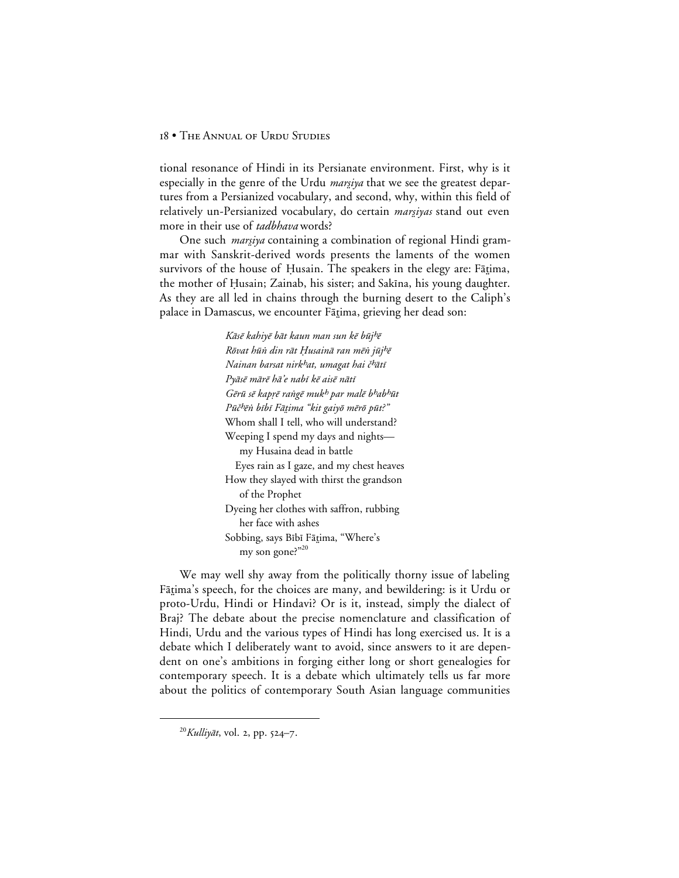tional resonance of Hindi in its Persianate environment. First, why is it especially in the genre of the Urdu *marsiya* that we see the greatest departures from a Persianized vocabulary, and second, why, within this field of relatively un-Persianized vocabulary, do certain *marsiyas* stand out even more in their use of *tadbhava* words?

One such *marsiya* containing a combination of regional Hindi grammar with Sanskrit-derived words presents the laments of the women survivors of the house of Husain. The speakers in the elegy are: Fātima, the mother of Husain; Zainab, his sister; and Sakīna, his young daughter. As they are all led in chains through the burning desert to the Caliph's palace in Damascus, we encounter Fārima, grieving her dead son:

> Kāsē kahiyē bāt kaun man sun kē būj<sup>h</sup>ē Rõvat hūn din rāt Husainā ran mēn jūj<sup>h</sup>ē Nainan barsat nirk<sup>h</sup>at, umagat hai č<sup>h</sup>ātī Pyāsē mārē hā'e nabī kē aisē nātī Gērū sē kaprē rangē muk<sup>h</sup> par malē b<sup>h</sup>ab<sup>h</sup>ūt Pūč<sup>h</sup>ēn bībī Fātima "kit gaiyō mērō pūt?" Whom shall I tell, who will understand? Weeping I spend my days and nights my Husaina dead in battle Eyes rain as I gaze, and my chest heaves How they slayed with thirst the grandson of the Prophet Dyeing her clothes with saffron, rubbing her face with ashes Sobbing, says Bībī Fātima, "Where's my son gone?"20

We may well shy away from the politically thorny issue of labeling Fātima's speech, for the choices are many, and bewildering: is it Urdu or proto-Urdu, Hindi or Hindavi? Or is it, instead, simply the dialect of Braj? The debate about the precise nomenclature and classification of Hindi, Urdu and the various types of Hindi has long exercised us. It is a debate which I deliberately want to avoid, since answers to it are dependent on one's ambitions in forging either long or short genealogies for contemporary speech. It is a debate which ultimately tells us far more about the politics of contemporary South Asian language communities

 $^{20}$ Kulliyāt, vol. 2, pp. 524-7.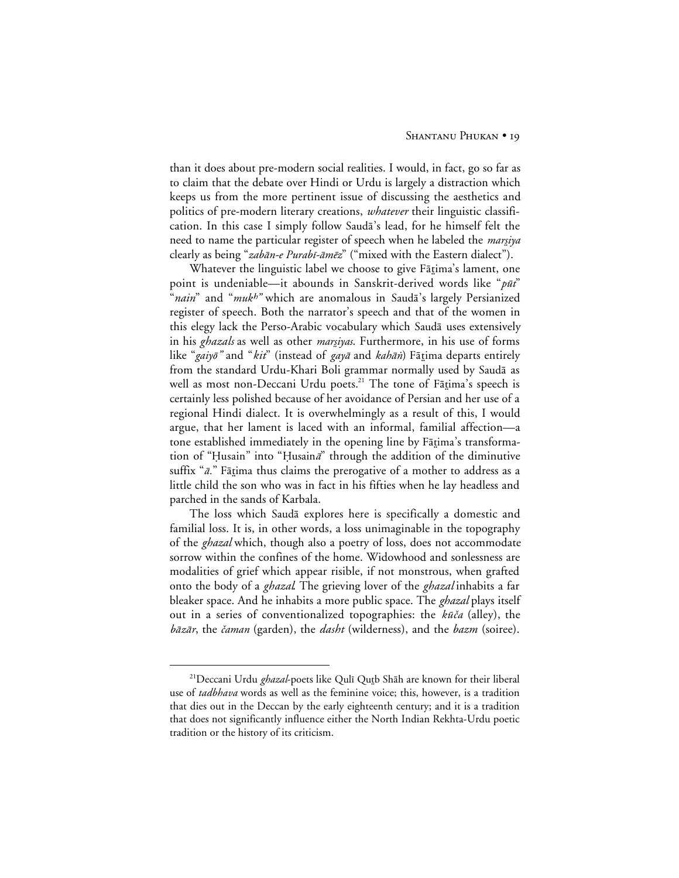than it does about pre-modern social realities. I would, in fact, go so far as to claim that the debate over Hindi or Urdu is largely a distraction which keeps us from the more pertinent issue of discussing the aesthetics and politics of pre-modern literary creations, *whatever* their linguistic classification. In this case I simply follow Sauda's lead, for he himself felt the need to name the particular register of speech when he labeled the *marsiya* clearly as being "zabān-e Purabī-āmēz" ("mixed with the Eastern dialect").

Whatever the linguistic label we choose to give Fātima's lament, one point is undeniable—it abounds in Sanskrit-derived words like " $p\bar{u}t$ " "*nain*" and "muk<sup>h</sup>" which are anomalous in Saudā's largely Persianized register of speech. Both the narrator's speech and that of the women in this elegy lack the Perso-Arabic vocabulary which Saudā uses extensively in his *ghazals* as well as other *marsiyas*. Furthermore, in his use of forms like "gaiyō" and "kit" (instead of gayā and kahān) Fātima departs entirely from the standard Urdu-Khari Boli grammar normally used by Saudā as well as most non-Deccani Urdu poets.<sup>21</sup> The tone of Fātima's speech is certainly less polished because of her avoidance of Persian and her use of a regional Hindi dialect. It is overwhelmingly as a result of this, I would argue, that her lament is laced with an informal, familial affection—a tone established immediately in the opening line by Fatima's transformation of "Husain" into "Husaina" through the addition of the diminutive suffix " $\bar{a}$ ." Fātima thus claims the prerogative of a mother to address as a little child the son who was in fact in his fifties when he lay headless and parched in the sands of Karbala.

The loss which Saudā explores here is specifically a domestic and familial loss. It is, in other words, a loss unimaginable in the topography of the *ghazal* which, though also a poetry of loss, does not accommodate sorrow within the confines of the home. Widowhood and sonlessness are modalities of grief which appear risible, if not monstrous, when grafted onto the body of a *ghazal*. The grieving lover of the *ghazal* inhabits a far bleaker space. And he inhabits a more public space. The *ghazal* plays itself out in a series of conventionalized topographies: the kūča (alley), the bāzār, the čaman (garden), the *dasht* (wilderness), and the *bazm* (soiree).

<sup>&</sup>lt;sup>21</sup>Deccani Urdu *ghazal*-poets like Qulī Qutb Shāh are known for their liberal use of *tadbhava* words as well as the feminine voice; this, however, is a tradition that dies out in the Deccan by the early eighteenth century; and it is a tradition that does not significantly influence either the North Indian Rekhta-Urdu poetic tradition or the history of its criticism.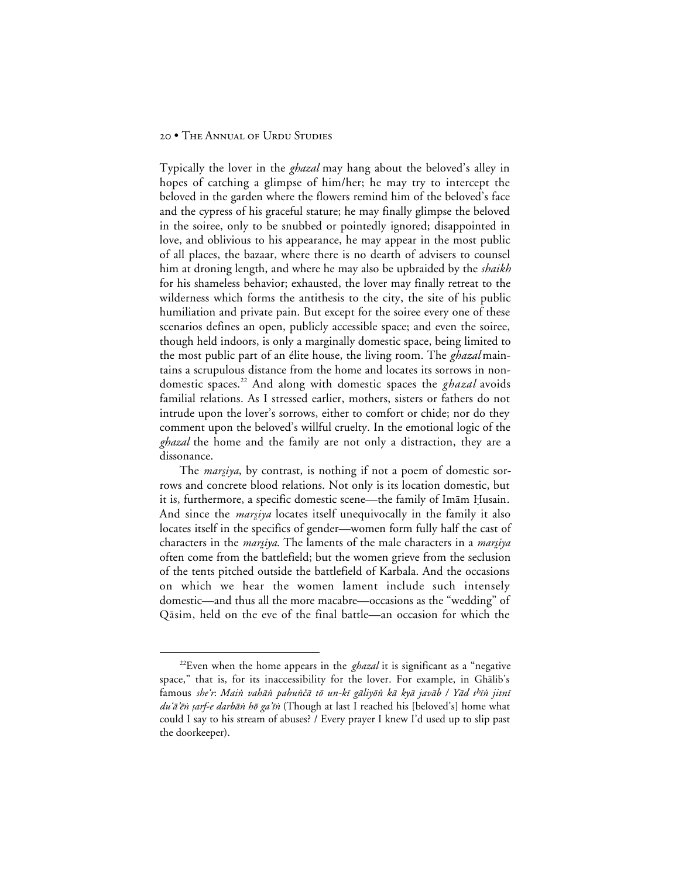Typically the lover in the *ghazal* may hang about the beloved's alley in hopes of catching a glimpse of him/her; he may try to intercept the beloved in the garden where the flowers remind him of the beloved's face and the cypress of his graceful stature; he may finally glimpse the beloved in the soiree, only to be snubbed or pointedly ignored; disappointed in love, and oblivious to his appearance, he may appear in the most public of all places, the bazaar, where there is no dearth of advisers to counsel him at droning length, and where he may also be upbraided by the *shaikh* for his shameless behavior; exhausted, the lover may finally retreat to the wilderness which forms the antithesis to the city, the site of his public humiliation and private pain. But except for the soiree every one of these scenarios defines an open, publicly accessible space; and even the soiree, though held indoors, is only a marginally domestic space, being limited to the most public part of an élite house, the living room. The *ghazal* maintains a scrupulous distance from the home and locates its sorrows in nondomestic spaces.<sup>22</sup> And along with domestic spaces the *ghazal* avoids familial relations. As I stressed earlier, mothers, sisters or fathers do not intrude upon the lover's sorrows, either to comfort or chide; nor do they comment upon the beloved's willful cruelty. In the emotional logic of the *ghazal* the home and the family are not only a distraction, they are a dissonance.

The *marsiya*, by contrast, is nothing if not a poem of domestic sorrows and concrete blood relations. Not only is its location domestic, but it is, furthermore, a specific domestic scene—the family of Imām Husain. And since the *marsiya* locates itself unequivocally in the family it also locates itself in the specifics of gender—women form fully half the cast of characters in the *marsiya*. The laments of the male characters in a *marsiya* often come from the battlefield; but the women grieve from the seclusion of the tents pitched outside the battlefield of Karbala. And the occasions on which we hear the women lament include such intensely domestic—and thus all the more macabre—occasions as the "wedding" of Qāsim, held on the eve of the final battle—an occasion for which the

<sup>&</sup>lt;sup>22</sup>Even when the home appears in the *ghazal* it is significant as a "negative" space," that is, for its inaccessibility for the lover. For example, in Ghalib's famous she'r: Main vahān pahunčā tō un-kī gāliyōn kā kyā javāb / Yād thīn jitnī du'ā'ēn sarf-e darbān hō ga'īn (Though at last I reached his [beloved's] home what could I say to his stream of abuses? / Every prayer I knew I'd used up to slip past the doorkeeper).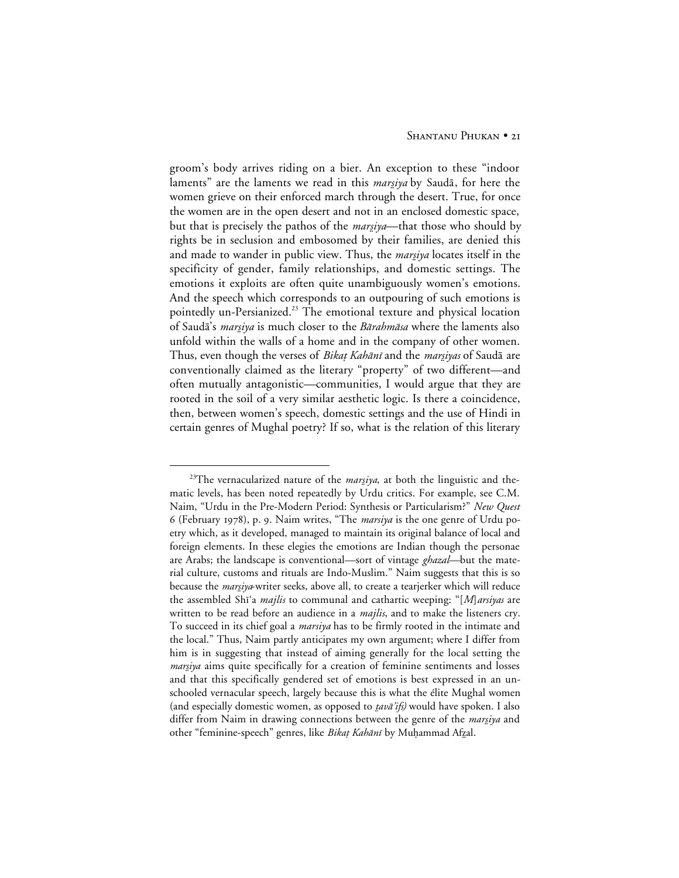groom's body arrives riding on a bier. An exception to these "indoor laments" are the laments we read in this *marsiya* by Saudā, for here the women grieve on their enforced march through the desert. True, for once the women are in the open desert and not in an enclosed domestic space, but that is precisely the pathos of the *marsiya*—that those who should by rights be in seclusion and embosomed by their families, are denied this and made to wander in public view. Thus, the *marsiya* locates itself in the specificity of gender, family relationships, and domestic settings. The emotions it exploits are often quite unambiguously women's emotions. And the speech which corresponds to an outpouring of such emotions is pointedly un-Persianized.<sup>23</sup> The emotional texture and physical location of Saudā's *marsiya* is much closer to the Bārahmāsa where the laments also unfold within the walls of a home and in the company of other women. Thus, even though the verses of *Bikat Kahānī* and the *marsiyas* of Saudā are conventionally claimed as the literary "property" of two different—and often mutually antagonistic—communities, I would argue that they are rooted in the soil of a very similar aesthetic logic. Is there a coincidence, then, between women's speech, domestic settings and the use of Hindi in certain genres of Mughal poetry? If so, what is the relation of this literary

<sup>&</sup>lt;sup>23</sup>The vernacularized nature of the *marsiya*, at both the linguistic and thematic levels, has been noted repeatedly by Urdu critics. For example, see C.M. Naim, "Urdu in the Pre-Modern Period: Synthesis or Particularism?" *New Quest* 6 (February 1978), p. 9. Naim writes, "The *marsiya* is the one genre of Urdu poetry which, as it developed, managed to maintain its original balance of local and foreign elements. In these elegies the emotions are Indian though the personae are Arabs; the landscape is conventional—sort of vintage *ghazal—*but the material culture, customs and rituals are Indo-Muslim." Naim suggests that this is so because the *marsiya*-writer seeks, above all, to create a tearjerker which will reduce the assembled Shi'a *majlis* to communal and cathartic weeping: "[*M*]*arsiyas* are written to be read before an audience in a *majlis*, and to make the listeners cry. To succeed in its chief goal a *marsiya* has to be firmly rooted in the intimate and the local." Thus, Naim partly anticipates my own argument; where I differ from him is in suggesting that instead of aiming generally for the local setting the *margiya* aims quite specifically for a creation of feminine sentiments and losses and that this specifically gendered set of emotions is best expressed in an unschooled vernacular speech, largely because this is what the élite Mughal women (and especially domestic women, as opposed to *tavā'ifs*) would have spoken. I also differ from Naim in drawing connections between the genre of the *marsiya* and other "feminine-speech" genres, like Bikat Kahānī by Muḥammad Afzal.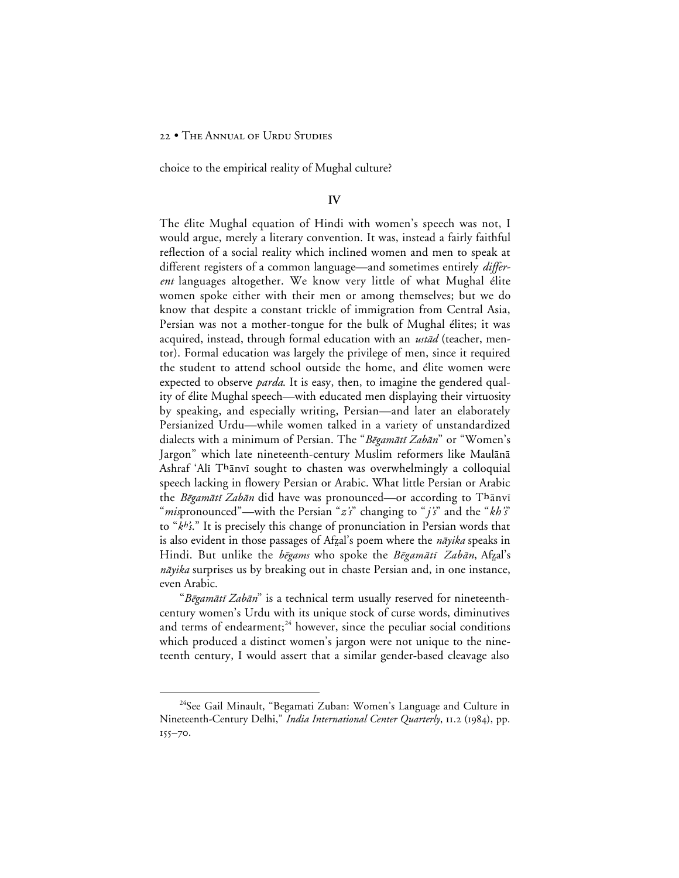choice to the empirical reality of Mughal culture?

#### **IV**

The élite Mughal equation of Hindi with women's speech was not, I would argue, merely a literary convention. It was, instead a fairly faithful reflection of a social reality which inclined women and men to speak at different registers of a common language—and sometimes entirely *different* languages altogether. We know very little of what Mughal élite women spoke either with their men or among themselves; but we do know that despite a constant trickle of immigration from Central Asia, Persian was not a mother-tongue for the bulk of Mughal élites; it was acquired, instead, through formal education with an *ustād* (teacher, mentor). Formal education was largely the privilege of men, since it required the student to attend school outside the home, and élite women were expected to observe *parda*. It is easy, then, to imagine the gendered quality of élite Mughal speech—with educated men displaying their virtuosity by speaking, and especially writing, Persian—and later an elaborately Persianized Urdu—while women talked in a variety of unstandardized dialects with a minimum of Persian. The "Bēgamātī Zabān" or "Women's Jargon" which late nineteenth-century Muslim reformers like Maulānā Ashraf 'Alī Thānvī sought to chasten was overwhelmingly a colloquial speech lacking in flowery Persian or Arabic. What little Persian or Arabic the *Bēgamātī Zabān* did have was pronounced—or according to Thānvī "*mis*pronounced"—with the Persian "*z's*" changing to "*j's*" and the "*kh's*" to "k<sup>h'</sup>s." It is precisely this change of pronunciation in Persian words that is also evident in those passages of Afzal's poem where the *nāyika* speaks in Hindi. But unlike the bēgams who spoke the Bēgamātī Zabān, Afzal's *nāyika* surprises us by breaking out in chaste Persian and, in one instance, even Arabic.

"Bēgamātī Zabān" is a technical term usually reserved for nineteenthcentury women's Urdu with its unique stock of curse words, diminutives and terms of endearment; $^{24}$  however, since the peculiar social conditions which produced a distinct women's jargon were not unique to the nineteenth century, I would assert that a similar gender-based cleavage also

<sup>&</sup>lt;sup>24</sup>See Gail Minault, "Begamati Zuban: Women's Language and Culture in Nineteenth-Century Delhi," *India International Center Quarterly*, 11.2 (1984), pp.  $155 - 70.$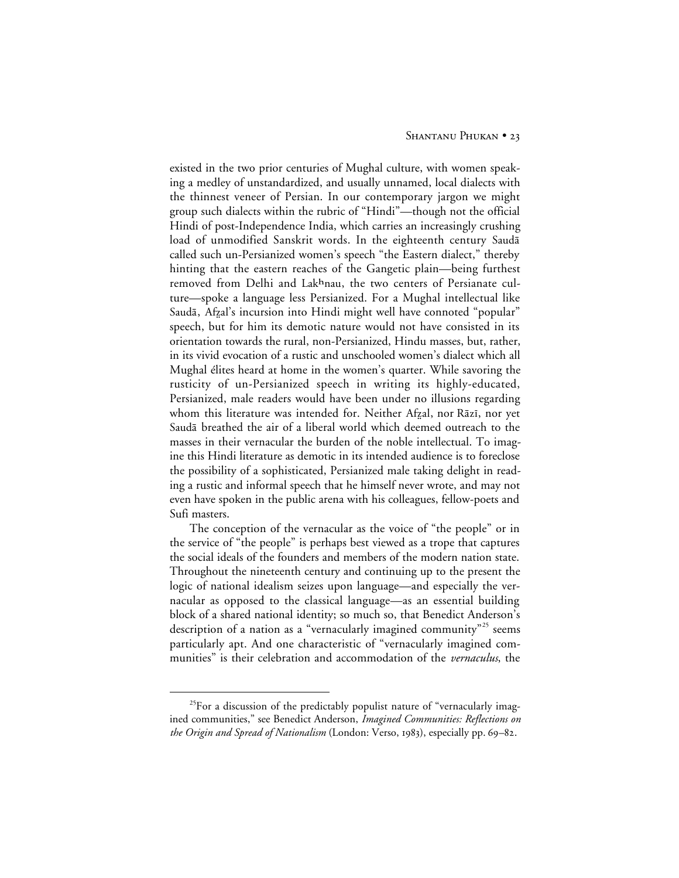existed in the two prior centuries of Mughal culture, with women speaking a medley of unstandardized, and usually unnamed, local dialects with the thinnest veneer of Persian. In our contemporary jargon we might group such dialects within the rubric of "Hindi"—though not the official Hindi of post-Independence India, which carries an increasingly crushing load of unmodified Sanskrit words. In the eighteenth century Saudā called such un-Persianized women's speech "the Eastern dialect," thereby hinting that the eastern reaches of the Gangetic plain—being furthest removed from Delhi and Lakhnau, the two centers of Persianate culture—spoke a language less Persianized. For a Mughal intellectual like Saudā, Afzal's incursion into Hindi might well have connoted "popular" speech, but for him its demotic nature would not have consisted in its orientation towards the rural, non-Persianized, Hindu masses, but, rather, in its vivid evocation of a rustic and unschooled women's dialect which all Mughal élites heard at home in the women's quarter. While savoring the rusticity of un-Persianized speech in writing its highly-educated, Persianized, male readers would have been under no illusions regarding whom this literature was intended for. Neither Afzal, nor Rāzī, nor yet Saudā breathed the air of a liberal world which deemed outreach to the masses in their vernacular the burden of the noble intellectual. To imagine this Hindi literature as demotic in its intended audience is to foreclose the possibility of a sophisticated, Persianized male taking delight in reading a rustic and informal speech that he himself never wrote, and may not even have spoken in the public arena with his colleagues, fellow-poets and Sufi masters.

The conception of the vernacular as the voice of "the people" or in the service of "the people" is perhaps best viewed as a trope that captures the social ideals of the founders and members of the modern nation state. Throughout the nineteenth century and continuing up to the present the logic of national idealism seizes upon language—and especially the vernacular as opposed to the classical language—as an essential building block of a shared national identity; so much so, that Benedict Anderson's description of a nation as a "vernacularly imagined community"<sup>25</sup> seems particularly apt. And one characteristic of "vernacularly imagined communities" is their celebration and accommodation of the *vernaculus*, the

 $^{25}$ For a discussion of the predictably populist nature of "vernacularly imagined communities," see Benedict Anderson, *Imagined Communities: Reflections on the Origin and Spread of Nationalism* (London: Verso, 1983), especially pp. 69–82.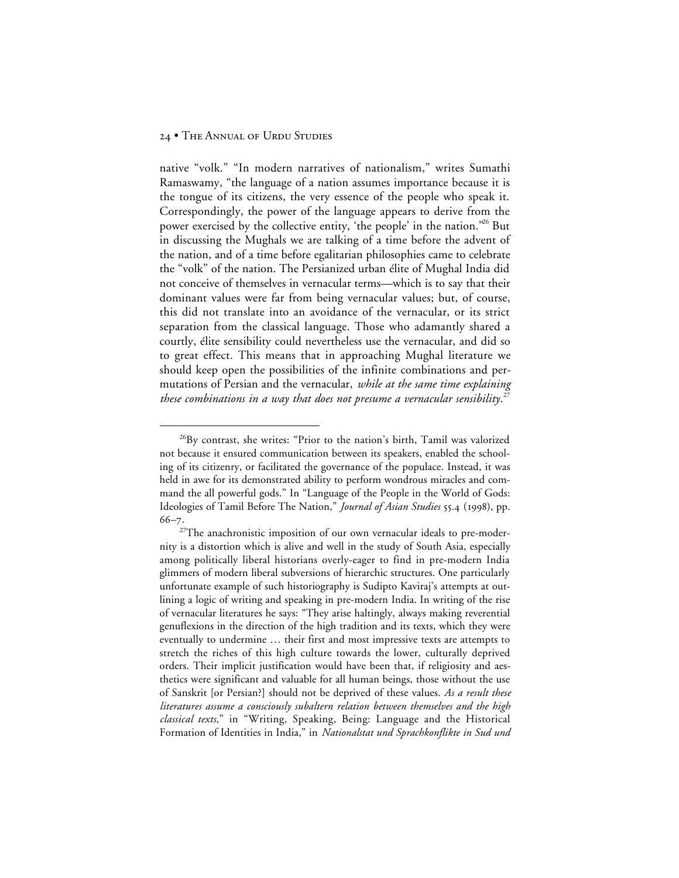native "volk." "In modern narratives of nationalism," writes Sumathi Ramaswamy, "the language of a nation assumes importance because it is the tongue of its citizens, the very essence of the people who speak it. Correspondingly, the power of the language appears to derive from the power exercised by the collective entity, 'the people' in the nation."26 But in discussing the Mughals we are talking of a time before the advent of the nation, and of a time before egalitarian philosophies came to celebrate the "volk" of the nation. The Persianized urban élite of Mughal India did not conceive of themselves in vernacular terms—which is to say that their dominant values were far from being vernacular values; but, of course, this did not translate into an avoidance of the vernacular, or its strict separation from the classical language. Those who adamantly shared a courtly, élite sensibility could nevertheless use the vernacular, and did so to great effect. This means that in approaching Mughal literature we should keep open the possibilities of the infinite combinations and permutations of Persian and the vernacular, *while at the same time explaining these combinations in a way that does not presume a vernacular sensibility*. 27

<sup>&</sup>lt;sup>26</sup>By contrast, she writes: "Prior to the nation's birth, Tamil was valorized not because it ensured communication between its speakers, enabled the schooling of its citizenry, or facilitated the governance of the populace. Instead, it was held in awe for its demonstrated ability to perform wondrous miracles and command the all powerful gods." In "Language of the People in the World of Gods: Ideologies of Tamil Before The Nation," *Journal of Asian Studies* 55.4 (1998), pp.  $66 - 7$ 

<sup>&</sup>lt;sup>27</sup>The anachronistic imposition of our own vernacular ideals to pre-modernity is a distortion which is alive and well in the study of South Asia, especially among politically liberal historians overly-eager to find in pre-modern India glimmers of modern liberal subversions of hierarchic structures. One particularly unfortunate example of such historiography is Sudipto Kaviraj's attempts at outlining a logic of writing and speaking in pre-modern India. In writing of the rise of vernacular literatures he says: "They arise haltingly, always making reverential genuflexions in the direction of the high tradition and its texts, which they were eventually to undermine … their first and most impressive texts are attempts to stretch the riches of this high culture towards the lower, culturally deprived orders. Their implicit justification would have been that, if religiosity and aesthetics were significant and valuable for all human beings, those without the use of Sanskrit [or Persian?] should not be deprived of these values. *As a result these literatures assume a consciously subaltern relation between themselves and the high classical texts*," in "Writing, Speaking, Being: Language and the Historical Formation of Identities in India," in *Nationalstat und Sprachkonflikte in Sud und*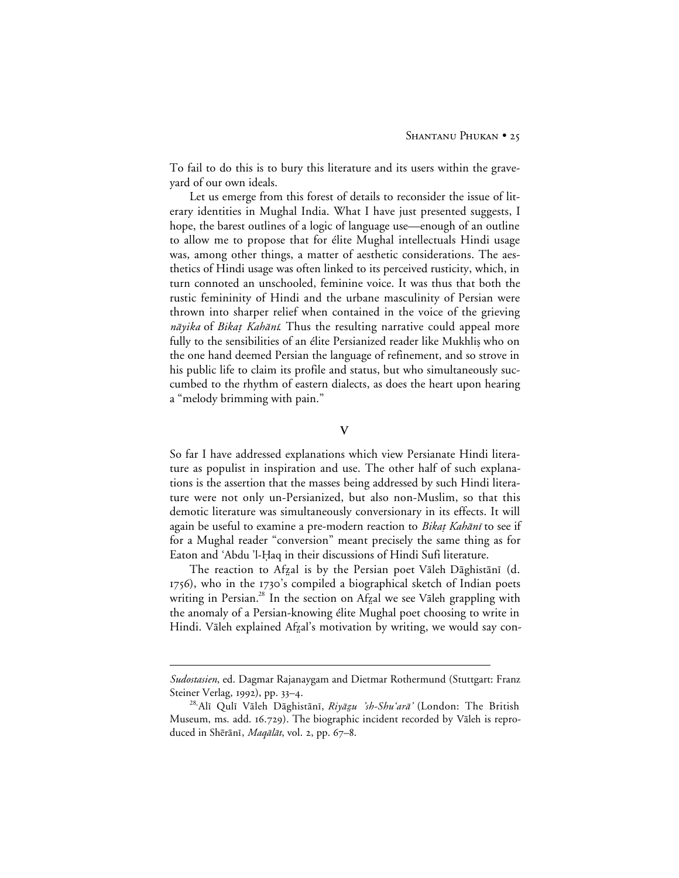To fail to do this is to bury this literature and its users within the graveyard of our own ideals.

Let us emerge from this forest of details to reconsider the issue of literary identities in Mughal India. What I have just presented suggests, I hope, the barest outlines of a logic of language use—enough of an outline to allow me to propose that for élite Mughal intellectuals Hindi usage was, among other things, a matter of aesthetic considerations. The aesthetics of Hindi usage was often linked to its perceived rusticity, which, in turn connoted an unschooled, feminine voice. It was thus that both the rustic femininity of Hindi and the urbane masculinity of Persian were thrown into sharper relief when contained in the voice of the grieving *nāyika* of *Bikat Kahānī*. Thus the resulting narrative could appeal more fully to the sensibilities of an élite Persianized reader like Mukhlis who on the one hand deemed Persian the language of refinement, and so strove in his public life to claim its profile and status, but who simultaneously succumbed to the rhythm of eastern dialects, as does the heart upon hearing a "melody brimming with pain."

**V**

So far I have addressed explanations which view Persianate Hindi literature as populist in inspiration and use. The other half of such explanations is the assertion that the masses being addressed by such Hindi literature were not only un-Persianized, but also non-Muslim, so that this demotic literature was simultaneously conversionary in its effects. It will again be useful to examine a pre-modern reaction to Bikat Kahānī to see if for a Mughal reader "conversion" meant precisely the same thing as for Eaton and 'Abdu 'l-Haq in their discussions of Hindi Sufi literature.

The reaction to Afzal is by the Persian poet Vāleh Dāghistānī (d. 1756), who in the 1730's compiled a biographical sketch of Indian poets writing in Persian.<sup>28</sup> In the section on Afzal we see Vāleh grappling with the anomaly of a Persian-knowing élite Mughal poet choosing to write in Hindi. Vāleh explained Afzal's motivation by writing, we would say con-

 $\overline{a}$ 

*Sudostasien*, ed. Dagmar Rajanaygam and Dietmar Rothermund (Stuttgart: Franz Steiner Verlag, 1992), pp. 33-4.

<sup>&</sup>lt;sup>28</sup>'Alī Qulī Vāleh Dāghistānī, Riyāzu 'sh-Shu'arā' (London: The British Museum, ms. add. 16.729). The biographic incident recorded by Vāleh is reproduced in Shērānī, Magālāt, vol. 2, pp. 67–8.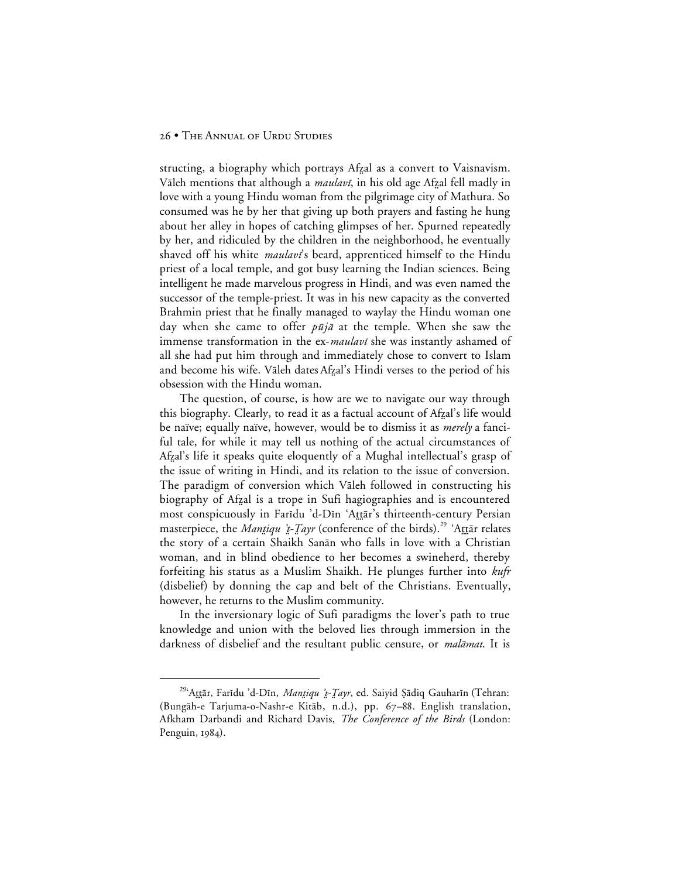structing, a biography which portrays Afzal as a convert to Vaisnavism. Vāleh mentions that although a *maulavī*, in his old age Afzal fell madly in love with a young Hindu woman from the pilgrimage city of Mathura. So consumed was he by her that giving up both prayers and fasting he hung about her alley in hopes of catching glimpses of her. Spurned repeatedly by her, and ridiculed by the children in the neighborhood, he eventually shaved off his white *maulavi*'s beard, apprenticed himself to the Hindu priest of a local temple, and got busy learning the Indian sciences. Being intelligent he made marvelous progress in Hindi, and was even named the successor of the temple-priest. It was in his new capacity as the converted Brahmin priest that he finally managed to waylay the Hindu woman one day when she came to offer  $p\bar{u}j\bar{a}$  at the temple. When she saw the immense transformation in the ex-maulavi she was instantly ashamed of all she had put him through and immediately chose to convert to Islam and become his wife. Vāleh dates Afzal's Hindi verses to the period of his obsession with the Hindu woman.

The question, of course, is how are we to navigate our way through this biography. Clearly, to read it as a factual account of Afzal's life would be naïve; equally naïve, however, would be to dismiss it as *merely* a fanciful tale, for while it may tell us nothing of the actual circumstances of Afzal's life it speaks quite eloquently of a Mughal intellectual's grasp of the issue of writing in Hindi, and its relation to the issue of conversion. The paradigm of conversion which Valeh followed in constructing his biography of Afzal is a trope in Sufi hagiographies and is encountered most conspicuously in Faridu 'd-Din 'Attār's thirteenth-century Persian masterpiece, the *Mantiqu 't-Tayr* (conference of the birds).<sup>29</sup> 'Attair relates the story of a certain Shaikh Sanan who falls in love with a Christian woman, and in blind obedience to her becomes a swineherd, thereby forfeiting his status as a Muslim Shaikh. He plunges further into *kufr* (disbelief) by donning the cap and belt of the Christians. Eventually, however, he returns to the Muslim community.

In the inversionary logic of Sufi paradigms the lover's path to true knowledge and union with the beloved lies through immersion in the darkness of disbelief and the resultant public censure, or *malāmat*. It is

<sup>&</sup>lt;sup>29</sup>'Attār, Farīdu 'd-Dīn, *Manțiqu 't-Țayr*, ed. Saiyid Şādiq Gauharīn (Tehran: (Bungāh-e Tarjuma-o-Nashr-e Kitāb, n.d.), pp. 67-88. English translation, Afkham Darbandi and Richard Davis, *The Conference of the Birds* (London: Penguin, 1984).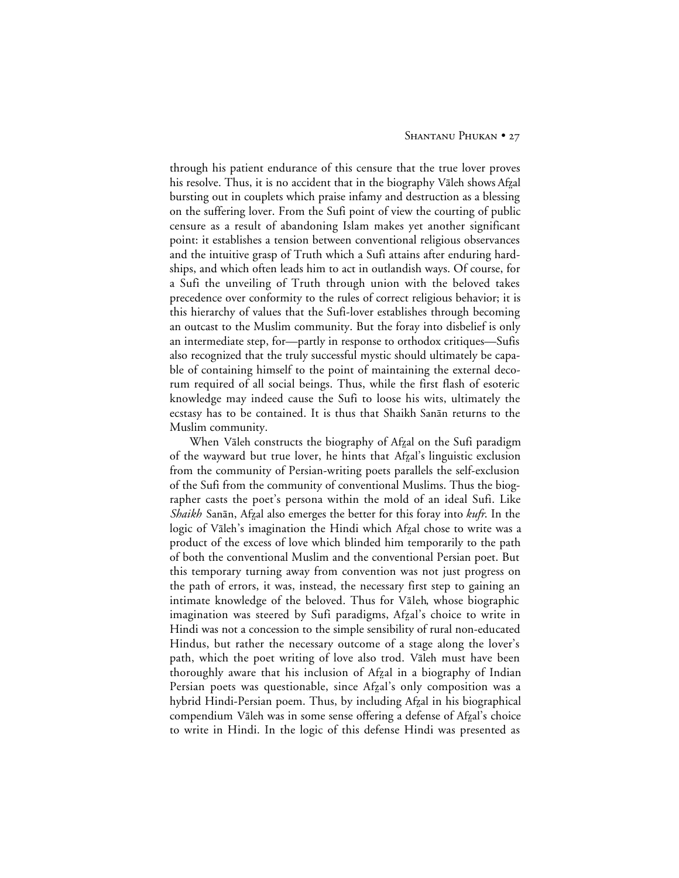through his patient endurance of this censure that the true lover proves his resolve. Thus, it is no accident that in the biography Vāleh shows Afzal bursting out in couplets which praise infamy and destruction as a blessing on the suffering lover. From the Sufi point of view the courting of public censure as a result of abandoning Islam makes yet another significant point: it establishes a tension between conventional religious observances and the intuitive grasp of Truth which a Sufi attains after enduring hardships, and which often leads him to act in outlandish ways. Of course, for a Sufi the unveiling of Truth through union with the beloved takes precedence over conformity to the rules of correct religious behavior; it is this hierarchy of values that the Sufi-lover establishes through becoming an outcast to the Muslim community. But the foray into disbelief is only an intermediate step, for—partly in response to orthodox critiques—Sufis also recognized that the truly successful mystic should ultimately be capable of containing himself to the point of maintaining the external decorum required of all social beings. Thus, while the first flash of esoteric knowledge may indeed cause the Sufi to loose his wits, ultimately the ecstasy has to be contained. It is thus that Shaikh Sanan returns to the Muslim community.

When Vāleh constructs the biography of Afzal on the Sufi paradigm of the wayward but true lover, he hints that Afzal's linguistic exclusion from the community of Persian-writing poets parallels the self-exclusion of the Sufi from the community of conventional Muslims. Thus the biographer casts the poet's persona within the mold of an ideal Sufi. Like *Shaikh* Sanān, Afzal also emerges the better for this foray into *kufr*. In the logic of Vāleh's imagination the Hindi which Afzal chose to write was a product of the excess of love which blinded him temporarily to the path of both the conventional Muslim and the conventional Persian poet. But this temporary turning away from convention was not just progress on the path of errors, it was, instead, the necessary first step to gaining an intimate knowledge of the beloved. Thus for Vāleh, whose biographic imagination was steered by Sufi paradigms, Afzal's choice to write in Hindi was not a concession to the simple sensibility of rural non-educated Hindus, but rather the necessary outcome of a stage along the lover's path, which the poet writing of love also trod. Vāleh must have been thoroughly aware that his inclusion of Afzal in a biography of Indian Persian poets was questionable, since Afzal's only composition was a hybrid Hindi-Persian poem. Thus, by including Afzal in his biographical compendium Vāleh was in some sense offering a defense of Afzal's choice to write in Hindi. In the logic of this defense Hindi was presented as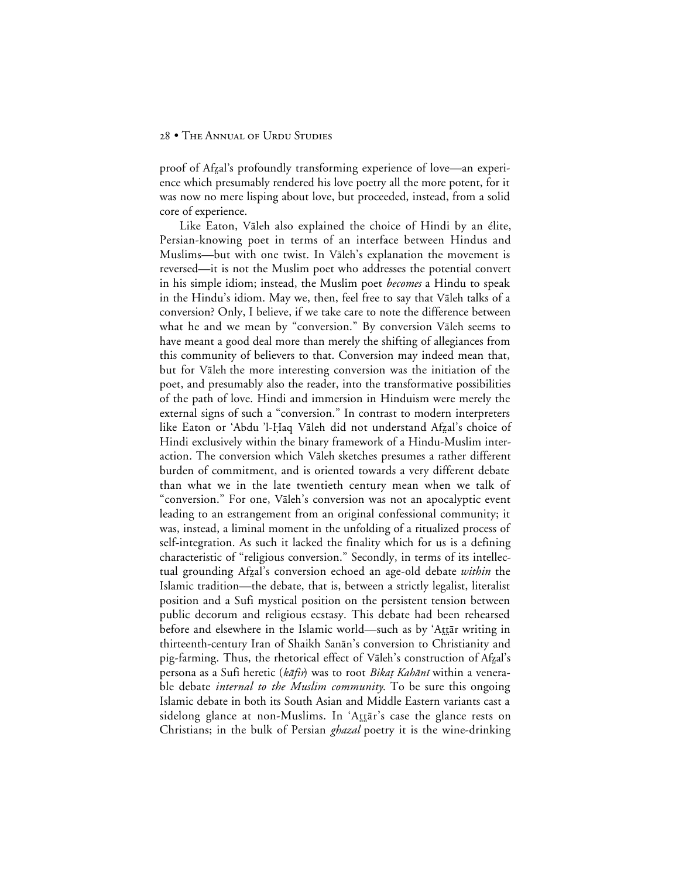proof of Afzal's profoundly transforming experience of love—an experience which presumably rendered his love poetry all the more potent, for it was now no mere lisping about love, but proceeded, instead, from a solid core of experience.

Like Eaton, Vāleh also explained the choice of Hindi by an élite, Persian-knowing poet in terms of an interface between Hindus and Muslims—but with one twist. In Vāleh's explanation the movement is reversed—it is not the Muslim poet who addresses the potential convert in his simple idiom; instead, the Muslim poet *becomes* a Hindu to speak in the Hindu's idiom. May we, then, feel free to say that Vāleh talks of a conversion? Only, I believe, if we take care to note the difference between what he and we mean by "conversion." By conversion Valeh seems to have meant a good deal more than merely the shifting of allegiances from this community of believers to that. Conversion may indeed mean that, but for Vāleh the more interesting conversion was the initiation of the poet, and presumably also the reader, into the transformative possibilities of the path of love. Hindi and immersion in Hinduism were merely the external signs of such a "conversion." In contrast to modern interpreters like Eaton or 'Abdu 'l-Ḥaq Vāleh did not understand Afzal's choice of Hindi exclusively within the binary framework of a Hindu-Muslim interaction. The conversion which Vāleh sketches presumes a rather different burden of commitment, and is oriented towards a very different debate than what we in the late twentieth century mean when we talk of "conversion." For one, Vāleh's conversion was not an apocalyptic event leading to an estrangement from an original confessional community; it was, instead, a liminal moment in the unfolding of a ritualized process of self-integration. As such it lacked the finality which for us is a defining characteristic of "religious conversion." Secondly, in terms of its intellectual grounding Afzal's conversion echoed an age-old debate *within* the Islamic tradition—the debate, that is, between a strictly legalist, literalist position and a Sufi mystical position on the persistent tension between public decorum and religious ecstasy. This debate had been rehearsed before and elsewhere in the Islamic world—such as by 'Attār writing in thirteenth-century Iran of Shaikh Sanān's conversion to Christianity and pig-farming. Thus, the rhetorical effect of Vāleh's construction of Afzal's persona as a Sufi heretic (kāfir) was to root Bikaț Kahānī within a venerable debate *internal to the Muslim community*. To be sure this ongoing Islamic debate in both its South Asian and Middle Eastern variants cast a sidelong glance at non-Muslims. In 'Attar's case the glance rests on Christians; in the bulk of Persian *ghazal* poetry it is the wine-drinking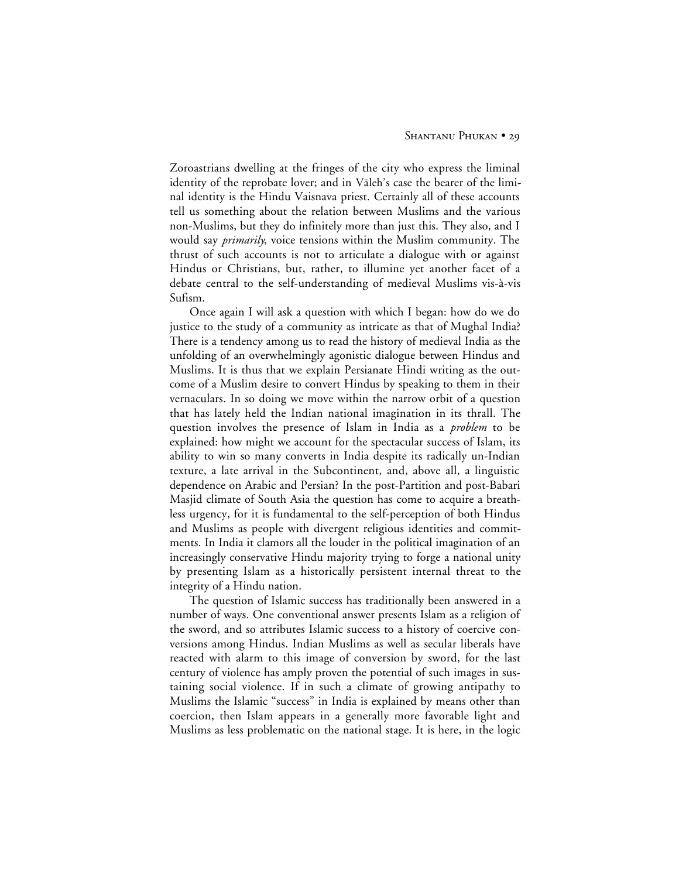Zoroastrians dwelling at the fringes of the city who express the liminal identity of the reprobate lover; and in Valeh's case the bearer of the liminal identity is the Hindu Vaisnava priest. Certainly all of these accounts tell us something about the relation between Muslims and the various non-Muslims, but they do infinitely more than just this. They also, and I would say *primarily*, voice tensions within the Muslim community. The thrust of such accounts is not to articulate a dialogue with or against Hindus or Christians, but, rather, to illumine yet another facet of a debate central to the self-understanding of medieval Muslims vis-à-vis Sufism.

Once again I will ask a question with which I began: how do we do justice to the study of a community as intricate as that of Mughal India? There is a tendency among us to read the history of medieval India as the unfolding of an overwhelmingly agonistic dialogue between Hindus and Muslims. It is thus that we explain Persianate Hindi writing as the outcome of a Muslim desire to convert Hindus by speaking to them in their vernaculars. In so doing we move within the narrow orbit of a question that has lately held the Indian national imagination in its thrall. The question involves the presence of Islam in India as a *problem* to be explained: how might we account for the spectacular success of Islam, its ability to win so many converts in India despite its radically un-Indian texture, a late arrival in the Subcontinent, and, above all, a linguistic dependence on Arabic and Persian? In the post-Partition and post-Babari Masjid climate of South Asia the question has come to acquire a breathless urgency, for it is fundamental to the self-perception of both Hindus and Muslims as people with divergent religious identities and commitments. In India it clamors all the louder in the political imagination of an increasingly conservative Hindu majority trying to forge a national unity by presenting Islam as a historically persistent internal threat to the integrity of a Hindu nation.

The question of Islamic success has traditionally been answered in a number of ways. One conventional answer presents Islam as a religion of the sword, and so attributes Islamic success to a history of coercive conversions among Hindus. Indian Muslims as well as secular liberals have reacted with alarm to this image of conversion by sword, for the last century of violence has amply proven the potential of such images in sustaining social violence. If in such a climate of growing antipathy to Muslims the Islamic "success" in India is explained by means other than coercion, then Islam appears in a generally more favorable light and Muslims as less problematic on the national stage. It is here, in the logic